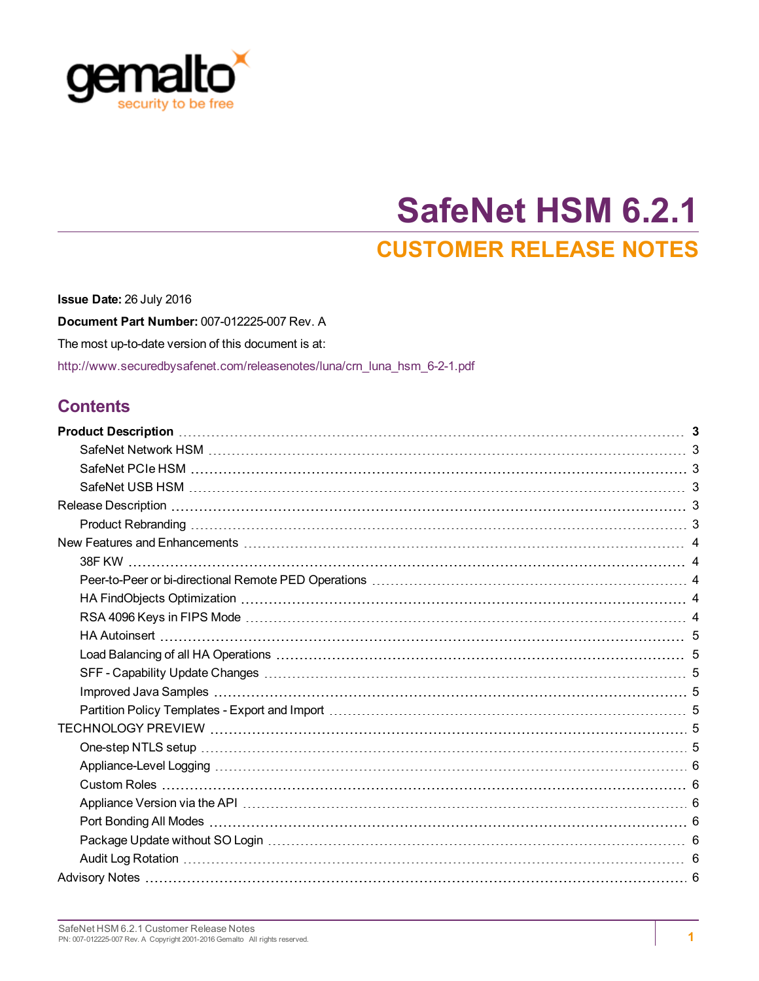

# **SafeNet HSM 6.2.1 CUSTOMER RELEASE NOTES**

**Issue Date:** 26 July 2016 **Document Part Number:** 007-012225-007 Rev. A The most up-to-date version of this document is at: [http://www.securedbysafenet.com/releasenotes/luna/crn\\_luna\\_hsm\\_6-2-1.pdf](http://www.securedbysafenet.com/releasenotes/luna/crn_luna_hsm_6-2-1.pdf)

# **Contents**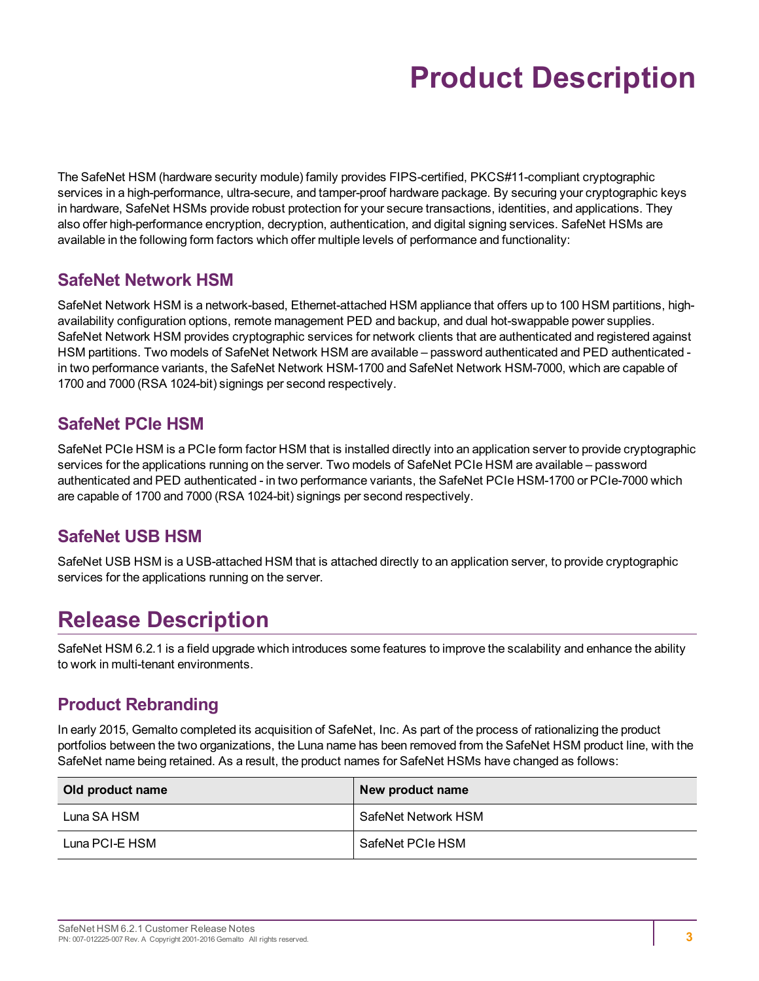# **Product Description**

<span id="page-2-0"></span>The SafeNet HSM (hardware security module) family provides FIPS-certified, PKCS#11-compliant cryptographic services in a high-performance, ultra-secure, and tamper-proof hardware package. By securing your cryptographic keys in hardware, SafeNet HSMs provide robust protection for your secure transactions, identities, and applications. They also offer high-performance encryption, decryption, authentication, and digital signing services. SafeNet HSMs are available in the following form factors which offer multiple levels of performance and functionality:

# <span id="page-2-1"></span>**SafeNet Network HSM**

SafeNet Network HSM is a network-based, Ethernet-attached HSM appliance that offers up to 100 HSM partitions, highavailability configuration options, remote management PED and backup, and dual hot-swappable power supplies. SafeNet Network HSM provides cryptographic services for network clients that are authenticated and registered against HSM partitions. Two models of SafeNet Network HSM are available – password authenticated and PED authenticated in two performance variants, the SafeNet Network HSM-1700 and SafeNet Network HSM-7000, which are capable of 1700 and 7000 (RSA 1024-bit) signings per second respectively.

# <span id="page-2-2"></span>**SafeNet PCIe HSM**

SafeNet PCIe HSM is a PCIe form factor HSM that is installed directly into an application server to provide cryptographic services for the applications running on the server. Two models of SafeNet PCIe HSM are available – password authenticated and PED authenticated - in two performance variants, the SafeNet PCIe HSM-1700 or PCIe-7000 which are capable of 1700 and 7000 (RSA 1024-bit) signings per second respectively.

# <span id="page-2-3"></span>**SafeNet USB HSM**

<span id="page-2-4"></span>SafeNet USB HSM is a USB-attached HSM that is attached directly to an application server, to provide cryptographic services for the applications running on the server.

# **Release Description**

SafeNet HSM 6.2.1 is a field upgrade which introduces some features to improve the scalability and enhance the ability to work in multi-tenant environments.

# <span id="page-2-5"></span>**Product Rebranding**

In early 2015, Gemalto completed its acquisition of SafeNet, Inc. As part of the process of rationalizing the product portfolios between the two organizations, the Luna name has been removed from the SafeNet HSM product line, with the SafeNet name being retained. As a result, the product names for SafeNet HSMs have changed as follows:

| Old product name | New product name    |
|------------------|---------------------|
| Luna SA HSM      | SafeNet Network HSM |
| Luna PCI-E HSM   | SafeNet PCIe HSM    |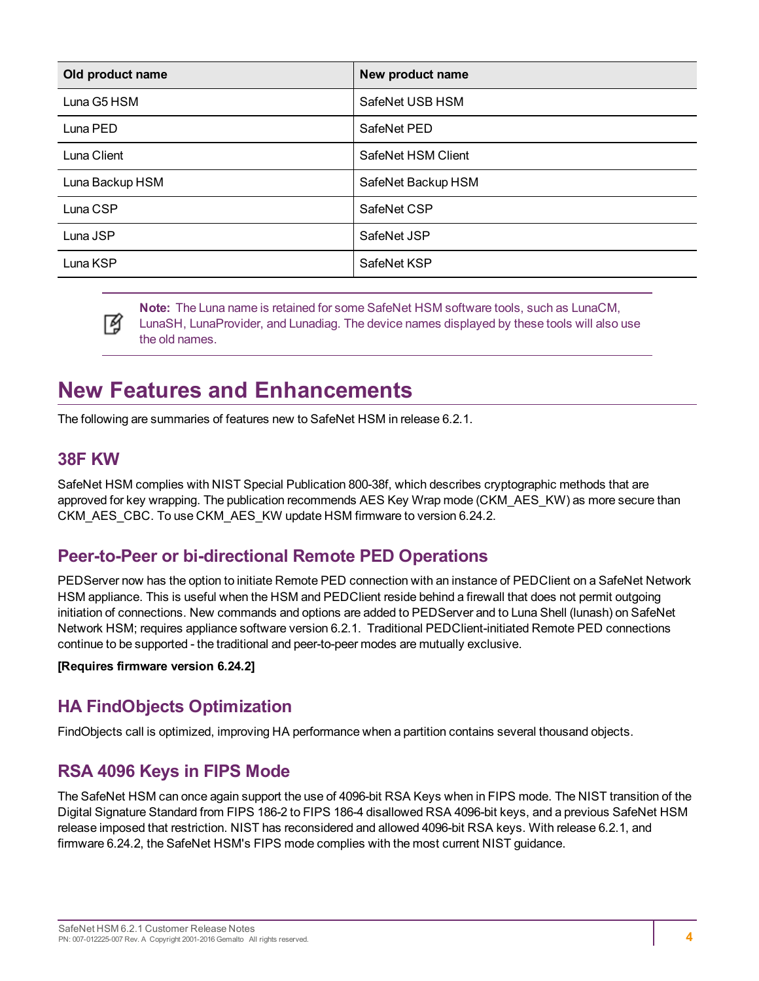| Old product name | New product name   |
|------------------|--------------------|
| Luna G5 HSM      | SafeNet USB HSM    |
| Luna PED         | SafeNet PED        |
| Luna Client      | SafeNet HSM Client |
| Luna Backup HSM  | SafeNet Backup HSM |
| Luna CSP         | SafeNet CSP        |
| Luna JSP         | SafeNet JSP        |
| Luna KSP         | SafeNet KSP        |

**Note:** The Luna name is retained for some SafeNet HSM software tools, such as LunaCM, LunaSH, LunaProvider, and Lunadiag. The device names displayed by these tools will also use the old names.

# <span id="page-3-0"></span>**New Features and Enhancements**

<span id="page-3-5"></span><span id="page-3-1"></span>The following are summaries of features new to SafeNet HSM in release 6.2.1.

### **38F KW**

М

SafeNet HSM complies with NIST Special Publication 800-38f, which describes cryptographic methods that are approved for key wrapping. The publication recommends AES Key Wrap mode (CKM\_AES\_KW) as more secure than CKM\_AES\_CBC. To use CKM\_AES\_KW update HSM firmware to version 6.24.2.

# <span id="page-3-2"></span>**Peer-to-Peer or bi-directional Remote PED Operations**

PEDServer now has the option to initiate Remote PED connection with an instance of PEDClient on a SafeNet Network HSM appliance. This is useful when the HSM and PEDClient reside behind a firewall that does not permit outgoing initiation of connections. New commands and options are added to PEDServer and to Luna Shell (lunash) on SafeNet Network HSM; requires appliance software version 6.2.1. Traditional PEDClient-initiated Remote PED connections continue to be supported - the traditional and peer-to-peer modes are mutually exclusive.

<span id="page-3-3"></span>**[Requires firmware version 6.24.2]**

# **HA FindObjects Optimization**

<span id="page-3-4"></span>FindObjects call is optimized, improving HA performance when a partition contains several thousand objects.

# **RSA 4096 Keys in FIPS Mode**

The SafeNet HSM can once again support the use of 4096-bit RSA Keys when in FIPS mode. The NIST transition of the Digital Signature Standard from FIPS 186-2 to FIPS 186-4 disallowed RSA 4096-bit keys, and a previous SafeNet HSM release imposed that restriction. NIST has reconsidered and allowed 4096-bit RSA keys. With release 6.2.1, and firmware 6.24.2, the SafeNet HSM's FIPS mode complies with the most current NIST guidance.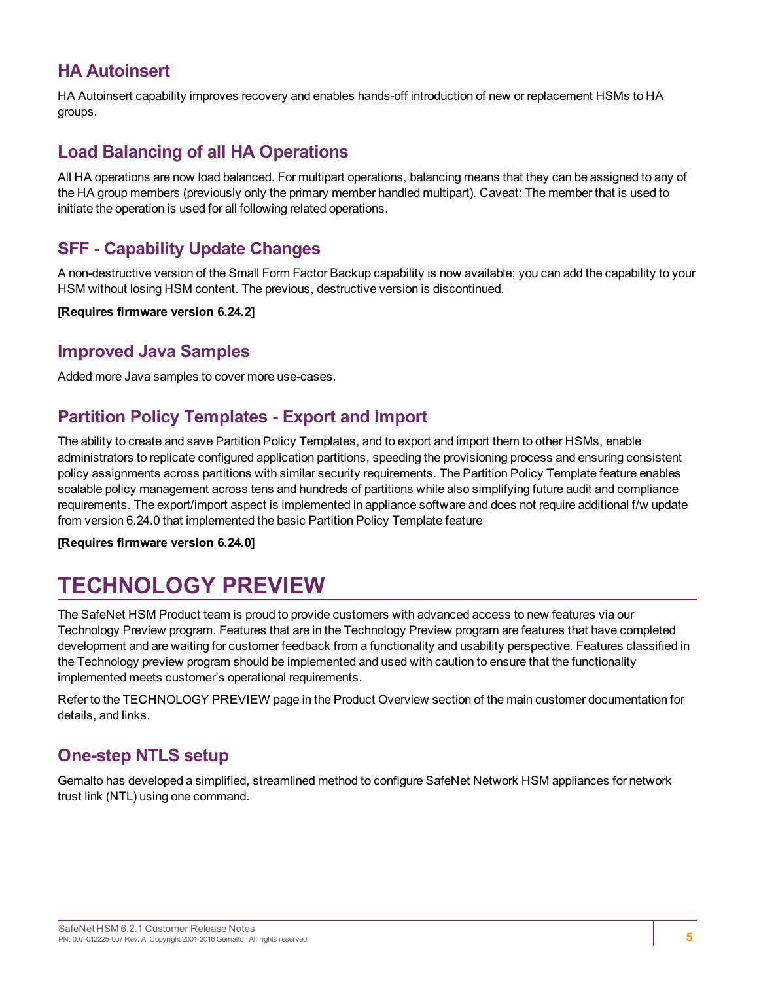# <span id="page-4-0"></span>**HA Autoinsert**

HA Autoinsert capability improves recovery and enables hands-off introduction of new or replacement HSMs to HA groups.

# <span id="page-4-1"></span>**Load Balancing of all HA Operations**

All HA operations are now load balanced. For multipart operations, balancing means that they can be assigned to any of the HA group members (previously only the primary member handled multipart). Caveat: The member that is used to initiate the operation is used for all following related operations.

### <span id="page-4-2"></span>**SFF - Capability Update Changes**

A non-destructive version of the Small Form Factor Backup capability is now available; you can add the capability to your HSM without losing HSM content. The previous, destructive version is discontinued.

<span id="page-4-3"></span>**[Requires firmware version 6.24.2]**

### **Improved Java Samples**

<span id="page-4-4"></span>Added more Java samples to cover more use-cases.

### **Partition Policy Templates - Export and Import**

The ability to create and save Partition Policy Templates, and to export and import them to other HSMs, enable administrators to replicate configured application partitions, speeding the provisioning process and ensuring consistent policy assignments across partitions with similar security requirements. The Partition Policy Template feature enables scalable policy management across tens and hundreds of partitions while also simplifying future audit and compliance requirements. The export/import aspect is implemented in appliance software and does not require additional f/w update from version 6.24.0 that implemented the basic Partition Policy Template feature

<span id="page-4-5"></span>**[Requires firmware version 6.24.0]**

# **TECHNOLOGY PREVIEW**

The SafeNet HSM Product team is proud to provide customers with advanced access to new features via our Technology Preview program. Features that are in the Technology Preview program are features that have completed development and are waiting for customer feedback from a functionality and usability perspective. Features classified in the Technology preview program should be implemented and used with caution to ensure that the functionality implemented meets customer's operational requirements.

Refer to the TECHNOLOGY PREVIEW page in the Product Overview section of the main customer documentation for details, and links.

# <span id="page-4-6"></span>**One-step NTLS setup**

Gemalto has developed a simplified, streamlined method to configure SafeNet Network HSM appliances for network trust link (NTL) using one command.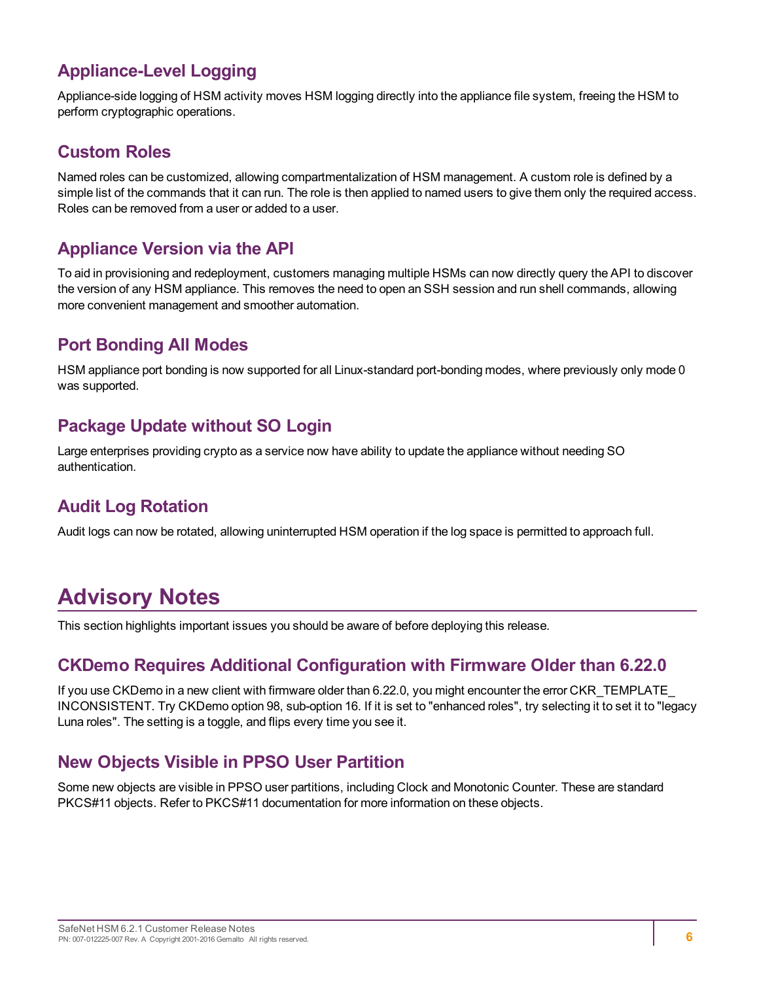# <span id="page-5-0"></span>**Appliance-Level Logging**

Appliance-side logging of HSM activity moves HSM logging directly into the appliance file system, freeing the HSM to perform cryptographic operations.

## <span id="page-5-1"></span>**Custom Roles**

Named roles can be customized, allowing compartmentalization of HSM management. A custom role is defined by a simple list of the commands that it can run. The role is then applied to named users to give them only the required access. Roles can be removed from a user or added to a user.

# <span id="page-5-2"></span>**Appliance Version via the API**

To aid in provisioning and redeployment, customers managing multiple HSMs can now directly query the API to discover the version of any HSM appliance. This removes the need to open an SSH session and run shell commands, allowing more convenient management and smoother automation.

# <span id="page-5-3"></span>**Port Bonding All Modes**

HSM appliance port bonding is now supported for all Linux-standard port-bonding modes, where previously only mode 0 was supported.

# <span id="page-5-4"></span>**Package Update without SO Login**

Large enterprises providing crypto as a service now have ability to update the appliance without needing SO authentication.

# <span id="page-5-5"></span>**Audit Log Rotation**

Audit logs can now be rotated, allowing uninterrupted HSM operation if the log space is permitted to approach full.

# <span id="page-5-6"></span>**Advisory Notes**

<span id="page-5-7"></span>This section highlights important issues you should be aware of before deploying this release.

# **CKDemo Requires Additional Configuration with Firmware Older than 6.22.0**

If you use CKDemo in a new client with firmware older than 6.22.0, you might encounter the error CKR\_TEMPLATE\_ INCONSISTENT. Try CKDemo option 98, sub-option 16. If it is set to "enhanced roles", try selecting it to set it to "legacy Luna roles". The setting is a toggle, and flips every time you see it.

# <span id="page-5-8"></span>**New Objects Visible in PPSO User Partition**

Some new objects are visible in PPSO user partitions, including Clock and Monotonic Counter. These are standard PKCS#11 objects. Refer to PKCS#11 documentation for more information on these objects.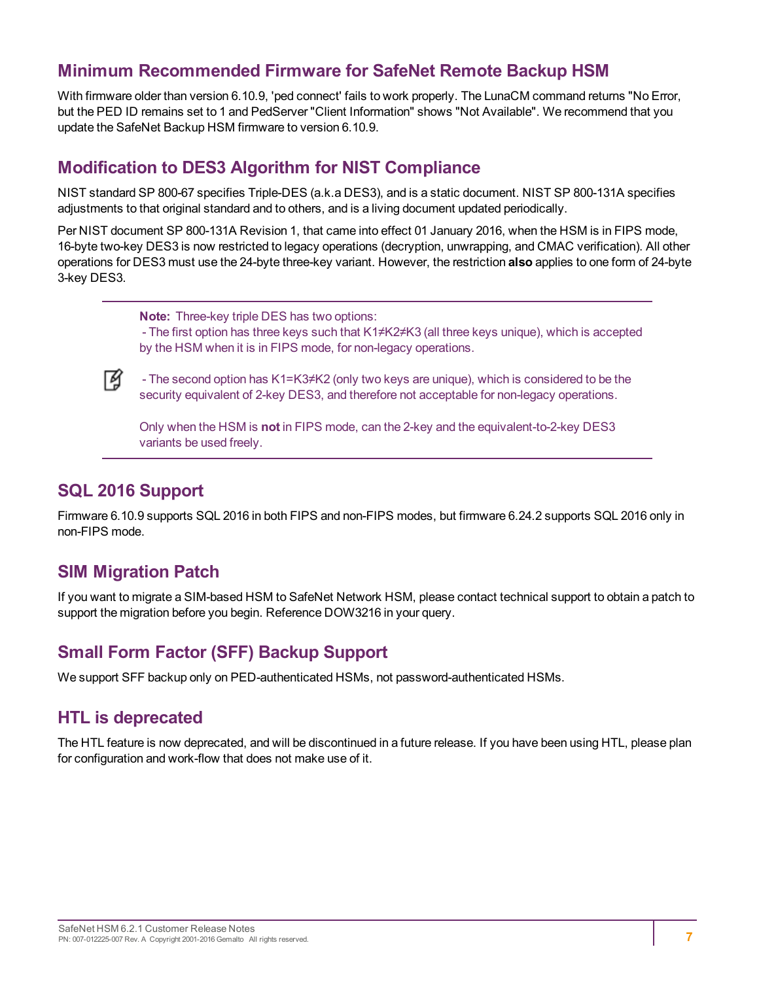## <span id="page-6-0"></span>**Minimum Recommended Firmware for SafeNet Remote Backup HSM**

With firmware older than version 6.10.9, 'ped connect' fails to work properly. The LunaCM command returns "No Error, but the PED ID remains set to 1 and PedServer "Client Information" shows "Not Available". We recommend that you update the SafeNet Backup HSM firmware to version 6.10.9.

### <span id="page-6-1"></span>**Modification to DES3 Algorithm for NIST Compliance**

NIST standard SP 800-67 specifies Triple-DES (a.k.a DES3), and is a static document. NIST SP 800-131A specifies adjustments to that original standard and to others, and is a living document updated periodically.

Per NIST document SP 800-131A Revision 1, that came into effect 01 January 2016, when the HSM is in FIPS mode, 16-byte two-key DES3 is now restricted to legacy operations (decryption, unwrapping, and CMAC verification). All other operations for DES3 must use the 24-byte three-key variant. However, the restriction **also** applies to one form of 24-byte 3-key DES3.

**Note:** Three-key triple DES has two options:

- The first option has three keys such that K1≠K2≠K3 (all three keys unique), which is accepted by the HSM when it is in FIPS mode, for non-legacy operations.



- The second option has K1=K3≠K2 (only two keys are unique), which is considered to be the security equivalent of 2-key DES3, and therefore not acceptable for non-legacy operations.

Only when the HSM is **not** in FIPS mode, can the 2-key and the equivalent-to-2-key DES3 variants be used freely.

#### <span id="page-6-2"></span>**SQL 2016 Support**

Firmware 6.10.9 supports SQL 2016 in both FIPS and non-FIPS modes, but firmware 6.24.2 supports SQL 2016 only in non-FIPS mode.

### <span id="page-6-3"></span>**SIM Migration Patch**

If you want to migrate a SIM-based HSM to SafeNet Network HSM, please contact technical support to obtain a patch to support the migration before you begin. Reference DOW3216 in your query.

### <span id="page-6-4"></span>**Small Form Factor (SFF) Backup Support**

<span id="page-6-5"></span>We support SFF backup only on PED-authenticated HSMs, not password-authenticated HSMs.

#### **HTL is deprecated**

The HTL feature is now deprecated, and will be discontinued in a future release. If you have been using HTL, please plan for configuration and work-flow that does not make use of it.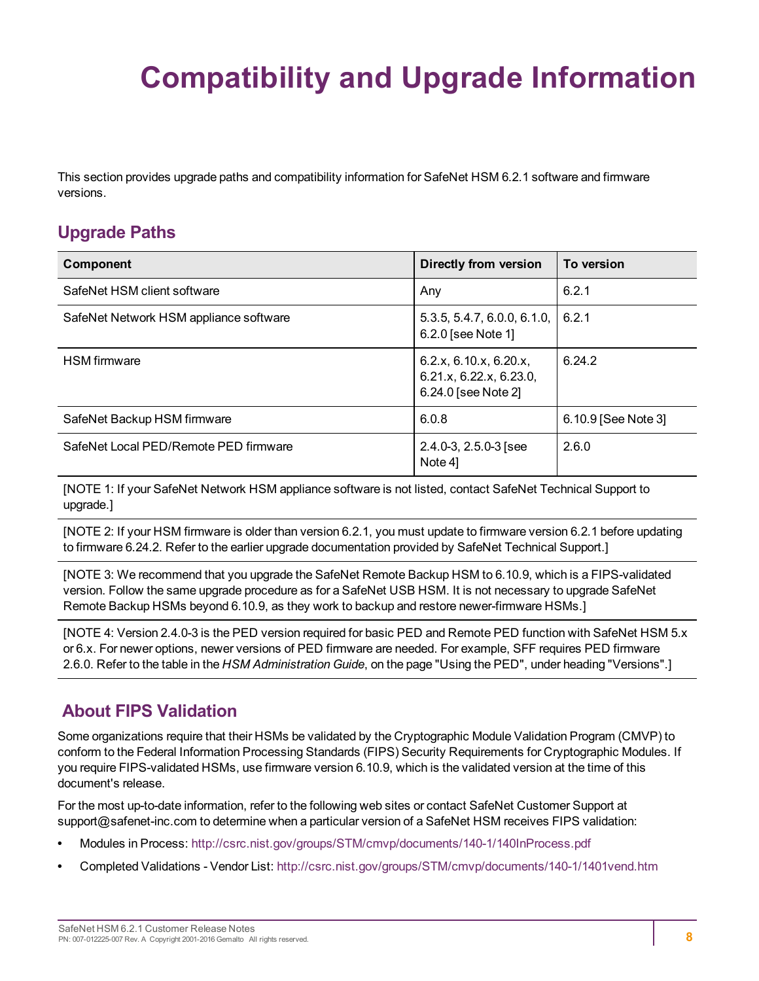# <span id="page-7-0"></span>**Compatibility and Upgrade Information**

This section provides upgrade paths and compatibility information for SafeNet HSM 6.2.1 software and firmware versions.

# <span id="page-7-1"></span>**Upgrade Paths**

| Component                              | Directly from version                                                    | To version            |
|----------------------------------------|--------------------------------------------------------------------------|-----------------------|
| SafeNet HSM client software            | Any                                                                      | 6.2.1                 |
| SafeNet Network HSM appliance software | 5.3.5, 5.4.7, 6.0.0, 6.1.0,<br>6.2.0 [see Note 1]                        | 6.2.1                 |
| <b>HSM</b> firmware                    | 6.2.x, 6.10.x, 6.20.x,<br>6.21.x, 6.22.x, 6.23.0,<br>6.24.0 [see Note 2] | 6.24.2                |
| SafeNet Backup HSM firmware            | 6.0.8                                                                    | $6.10.9$ [See Note 3] |
| SafeNet Local PED/Remote PED firmware  | $2.4.0 - 3$ , $2.5.0 - 3$ [see<br>Note 4]                                | 2.6.0                 |

[NOTE 1: If your SafeNet Network HSM appliance software is not listed, contact SafeNet Technical Support to upgrade.]

[NOTE 2: If your HSM firmware is older than version 6.2.1, you must update to firmware version 6.2.1 before updating to firmware 6.24.2. Refer to the earlier upgrade documentation provided by SafeNet Technical Support.]

[NOTE 3: We recommend that you upgrade the SafeNet Remote Backup HSM to 6.10.9, which is a FIPS-validated version. Follow the same upgrade procedure as for a SafeNet USB HSM. It is not necessary to upgrade SafeNet Remote Backup HSMs beyond 6.10.9, as they work to backup and restore newer-firmware HSMs.]

[NOTE 4: Version 2.4.0-3 is the PED version required for basic PED and Remote PED function with SafeNet HSM 5.x or 6.x. For newer options, newer versions of PED firmware are needed. For example, SFF requires PED firmware 2.6.0. Refer to the table in the *HSM Administration Guide*, on the page "Using the PED", under heading "Versions".]

# <span id="page-7-2"></span>**About FIPS Validation**

Some organizations require that their HSMs be validated by the Cryptographic Module Validation Program (CMVP) to conform to the Federal Information Processing Standards (FIPS) Security Requirements for Cryptographic Modules. If you require FIPS-validated HSMs, use firmware version 6.10.9, which is the validated version at the time of this document's release.

For the most up-to-date information, refer to the following web sites or contact SafeNet Customer Support at support@safenet-inc.com to determine when a particular version of a SafeNet HSM receives FIPS validation:

- **•** Modules in Process: <http://csrc.nist.gov/groups/STM/cmvp/documents/140-1/140InProcess.pdf>
- **•** Completed Validations Vendor List: <http://csrc.nist.gov/groups/STM/cmvp/documents/140-1/1401vend.htm>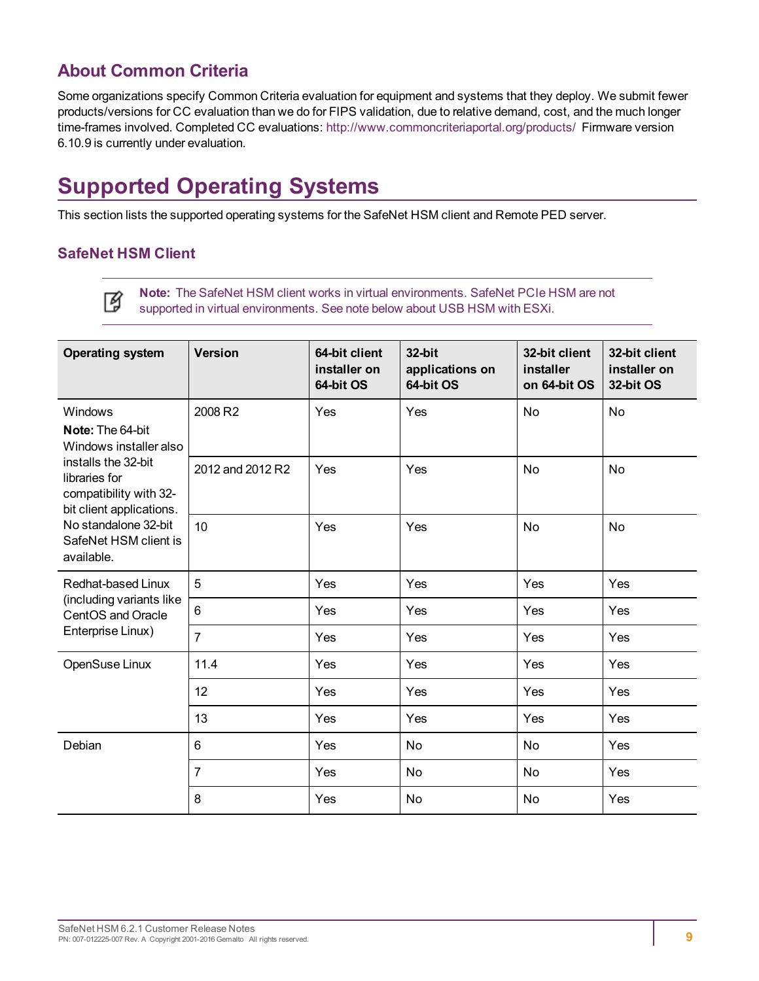# <span id="page-8-0"></span>**About Common Criteria**

Some organizations specify Common Criteria evaluation for equipment and systems that they deploy. We submit fewer products/versions for CC evaluation than we do for FIPS validation, due to relative demand, cost, and the much longer time-frames involved. Completed CC evaluations: <http://www.commoncriteriaportal.org/products/> Firmware version 6.10.9 is currently under evaluation.

# <span id="page-8-1"></span>**Supported Operating Systems**

This section lists the supported operating systems for the SafeNet HSM client and Remote PED server.

#### **SafeNet HSM Client**

**Note:** The SafeNet HSM client works in virtual environments. SafeNet PCIe HSM are not Ø supported in virtual environments. See note below about USB HSM with ESXi.

| <b>Operating system</b>                                                                    | <b>Version</b>   | 64-bit client<br>installer on<br>64-bit OS | 32-bit<br>applications on<br>64-bit OS | 32-bit client<br>installer<br>on 64-bit OS | 32-bit client<br>installer on<br>32-bit OS |
|--------------------------------------------------------------------------------------------|------------------|--------------------------------------------|----------------------------------------|--------------------------------------------|--------------------------------------------|
| <b>Windows</b><br>Note: The 64-bit<br>Windows installer also                               | 2008 R2          | Yes                                        | Yes                                    | No                                         | <b>No</b>                                  |
| installs the 32-bit<br>libraries for<br>compatibility with 32-<br>bit client applications. | 2012 and 2012 R2 | Yes                                        | Yes                                    | No                                         | <b>No</b>                                  |
| No standalone 32-bit<br>SafeNet HSM client is<br>available.                                | 10               | Yes                                        | Yes                                    | No                                         | <b>No</b>                                  |
| Redhat-based Linux                                                                         | 5                | Yes                                        | Yes                                    | Yes                                        | Yes                                        |
| (including variants like<br>CentOS and Oracle                                              | 6                | Yes                                        | Yes                                    | Yes                                        | Yes                                        |
| Enterprise Linux)                                                                          | $\overline{7}$   | Yes                                        | Yes                                    | Yes                                        | Yes                                        |
| OpenSuse Linux                                                                             | 11.4             | Yes                                        | Yes                                    | Yes                                        | Yes                                        |
|                                                                                            | 12               | Yes                                        | Yes                                    | Yes                                        | Yes                                        |
|                                                                                            | 13               | Yes                                        | Yes                                    | Yes                                        | Yes                                        |
| Debian                                                                                     | $6\phantom{1}$   | Yes                                        | <b>No</b>                              | <b>No</b>                                  | Yes                                        |
|                                                                                            | $\overline{7}$   | Yes                                        | <b>No</b>                              | <b>No</b>                                  | Yes                                        |
|                                                                                            | 8                | Yes                                        | <b>No</b>                              | No                                         | Yes                                        |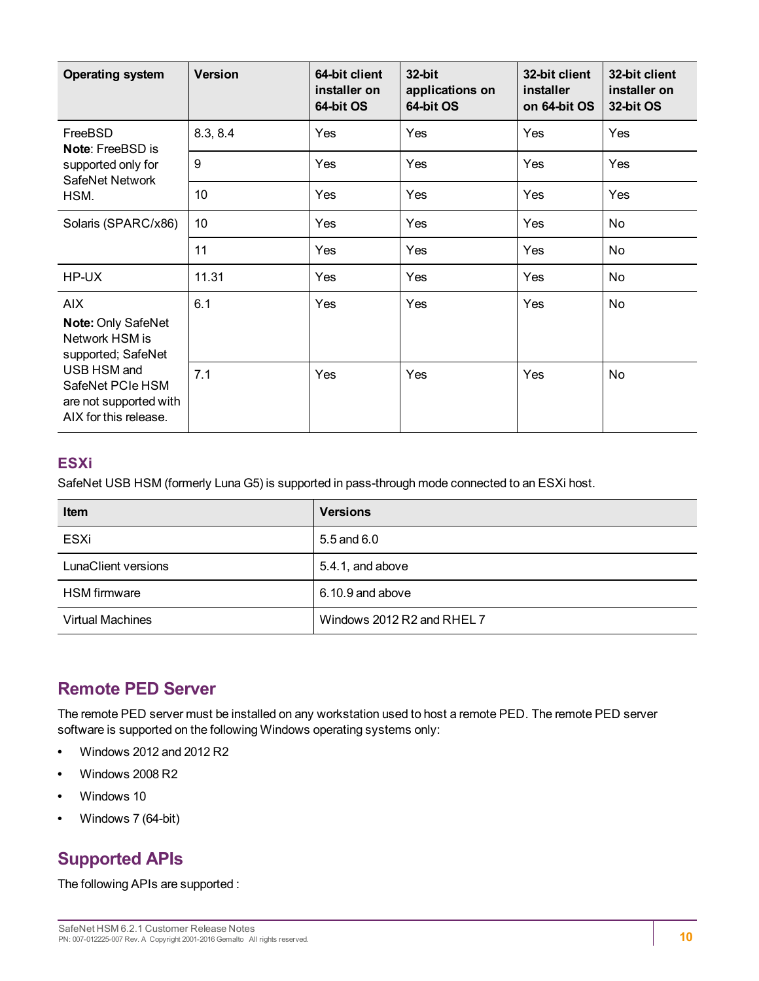| <b>Operating system</b>                                                            | <b>Version</b> | 64-bit client<br>installer on<br>64-bit OS | 32-bit<br>applications on<br>64-bit OS | 32-bit client<br>installer<br>on 64-bit OS | 32-bit client<br>installer on<br>32-bit OS |
|------------------------------------------------------------------------------------|----------------|--------------------------------------------|----------------------------------------|--------------------------------------------|--------------------------------------------|
| FreeBSD<br><b>Note: FreeBSD is</b>                                                 | 8.3, 8.4       | Yes                                        | Yes                                    | Yes                                        | Yes                                        |
| supported only for<br>SafeNet Network                                              | 9              | Yes                                        | Yes                                    | Yes                                        | Yes                                        |
| HSM.                                                                               | 10             | Yes                                        | Yes                                    | Yes                                        | Yes                                        |
| Solaris (SPARC/x86)                                                                | 10             | Yes                                        | Yes                                    | Yes                                        | No                                         |
|                                                                                    | 11             | Yes                                        | Yes                                    | Yes                                        | No                                         |
| HP-UX                                                                              | 11.31          | Yes                                        | Yes                                    | Yes                                        | No                                         |
| <b>AIX</b><br><b>Note: Only SafeNet</b><br>Network HSM is<br>supported; SafeNet    | 6.1            | Yes                                        | Yes                                    | Yes                                        | No                                         |
| USB HSM and<br>SafeNet PCIe HSM<br>are not supported with<br>AIX for this release. | 7.1            | Yes                                        | Yes                                    | Yes                                        | No                                         |

#### **ESXi**

SafeNet USB HSM (formerly Luna G5) is supported in pass-through mode connected to an ESXi host.

| <b>Item</b>             | <b>Versions</b>            |
|-------------------------|----------------------------|
| ESXi                    | 5.5 and 6.0                |
| LunaClient versions     | 5.4.1, and above           |
| <b>HSM</b> firmware     | 6.10.9 and above           |
| <b>Virtual Machines</b> | Windows 2012 R2 and RHEL 7 |

# <span id="page-9-0"></span>**Remote PED Server**

The remote PED server must be installed on any workstation used to host a remote PED. The remote PED server software is supported on the following Windows operating systems only:

- **•** Windows 2012 and 2012 R2
- **•** Windows 2008 R2
- **•** Windows 10
- <span id="page-9-1"></span>**•** Windows 7 (64-bit)

# **Supported APIs**

The following APIs are supported :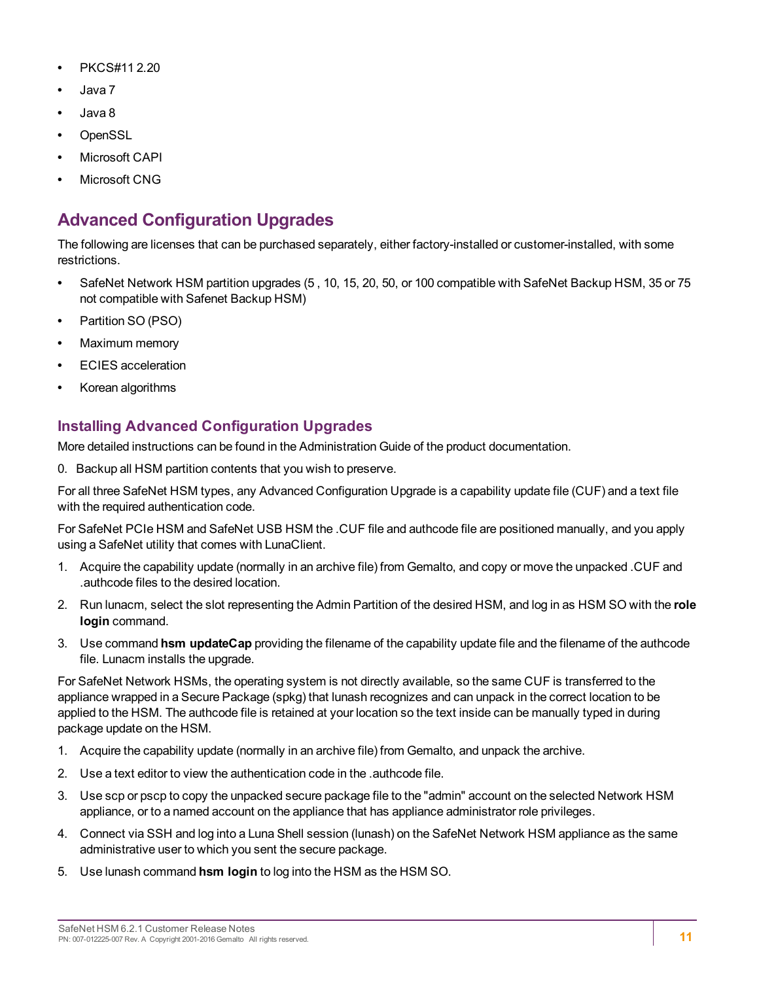- **•** PKCS#11 2.20
- **•** Java 7
- **•** Java 8
- **•** OpenSSL
- **•** Microsoft CAPI
- <span id="page-10-0"></span>**•** Microsoft CNG

# **Advanced Configuration Upgrades**

The following are licenses that can be purchased separately, either factory-installed or customer-installed, with some restrictions.

- **•** SafeNet Network HSM partition upgrades (5 , 10, 15, 20, 50, or 100 compatible with SafeNet Backup HSM, 35 or 75 not compatible with Safenet Backup HSM)
- **•** Partition SO (PSO)
- **•** Maximum memory
- **•** ECIES acceleration
- **•** Korean algorithms

### **Installing Advanced Configuration Upgrades**

More detailed instructions can be found in the Administration Guide of the product documentation.

0. Backup all HSM partition contents that you wish to preserve.

For all three SafeNet HSM types, any Advanced Configuration Upgrade is a capability update file (CUF) and a text file with the required authentication code.

For SafeNet PCIe HSM and SafeNet USB HSM the .CUF file and authcode file are positioned manually, and you apply using a SafeNet utility that comes with LunaClient.

- 1. Acquire the capability update (normally in an archive file) from Gemalto, and copy or move the unpacked .CUF and .authcode files to the desired location.
- 2. Run lunacm, select the slot representing the Admin Partition of the desired HSM, and log in as HSM SO with the **role login** command.
- 3. Use command **hsm updateCap** providing the filename of the capability update file and the filename of the authcode file. Lunacm installs the upgrade.

For SafeNet Network HSMs, the operating system is not directly available, so the same CUF is transferred to the appliance wrapped in a Secure Package (spkg) that lunash recognizes and can unpack in the correct location to be applied to the HSM. The authcode file is retained at your location so the text inside can be manually typed in during package update on the HSM.

- 1. Acquire the capability update (normally in an archive file) from Gemalto, and unpack the archive.
- 2. Use a text editor to view the authentication code in the .authcode file.
- 3. Use scp or pscp to copy the unpacked secure package file to the "admin" account on the selected Network HSM appliance, or to a named account on the appliance that has appliance administrator role privileges.
- 4. Connect via SSH and log into a Luna Shell session (lunash) on the SafeNet Network HSM appliance as the same administrative user to which you sent the secure package.
- 5. Use lunash command **hsm login** to log into the HSM as the HSM SO.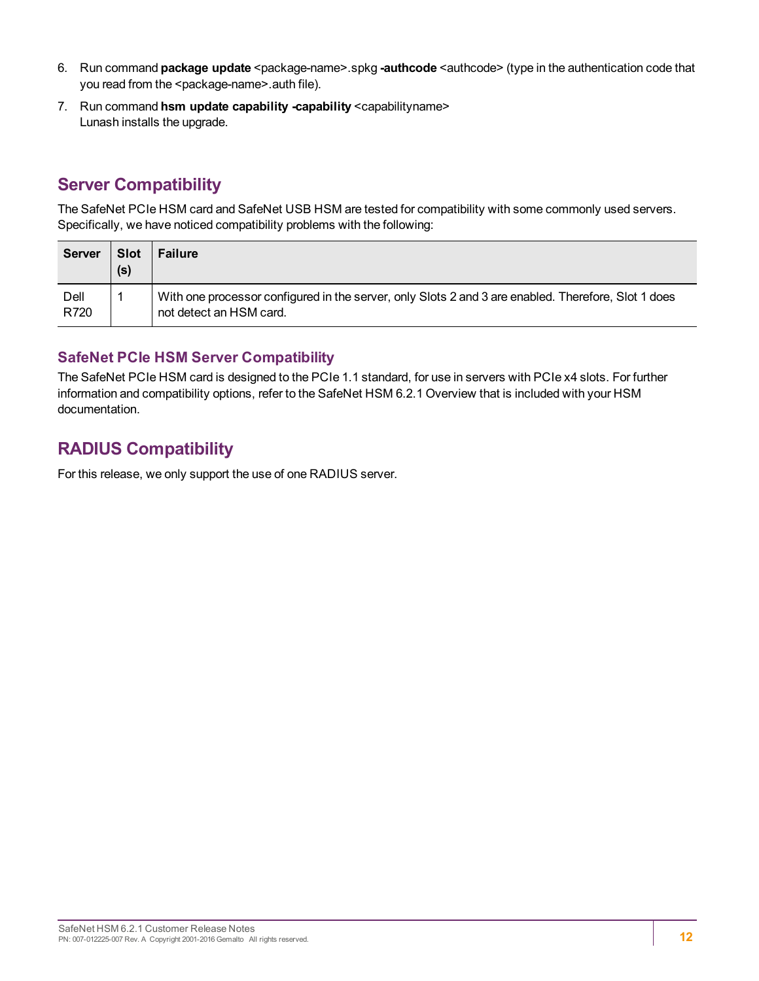- 6. Run command **package update** <package-name>.spkg **-authcode** <authcode> (type in the authentication code that you read from the <package-name>.auth file).
- 7. Run command **hsm update capability -capability** <capabilityname> Lunash installs the upgrade.

# <span id="page-11-0"></span>**Server Compatibility**

The SafeNet PCIe HSM card and SafeNet USB HSM are tested for compatibility with some commonly used servers. Specifically, we have noticed compatibility problems with the following:

| Server       | <b>Slot</b><br>(s) | <b>Failure</b>                                                                                                                 |
|--------------|--------------------|--------------------------------------------------------------------------------------------------------------------------------|
| Dell<br>R720 |                    | With one processor configured in the server, only Slots 2 and 3 are enabled. Therefore, Slot 1 does<br>not detect an HSM card. |

#### **SafeNet PCIe HSM Server Compatibility**

The SafeNet PCIe HSM card is designed to the PCIe 1.1 standard, for use in servers with PCIe x4 slots. For further information and compatibility options, refer to the SafeNet HSM 6.2.1 Overview that is included with your HSM documentation.

# <span id="page-11-1"></span>**RADIUS Compatibility**

For this release, we only support the use of one RADIUS server.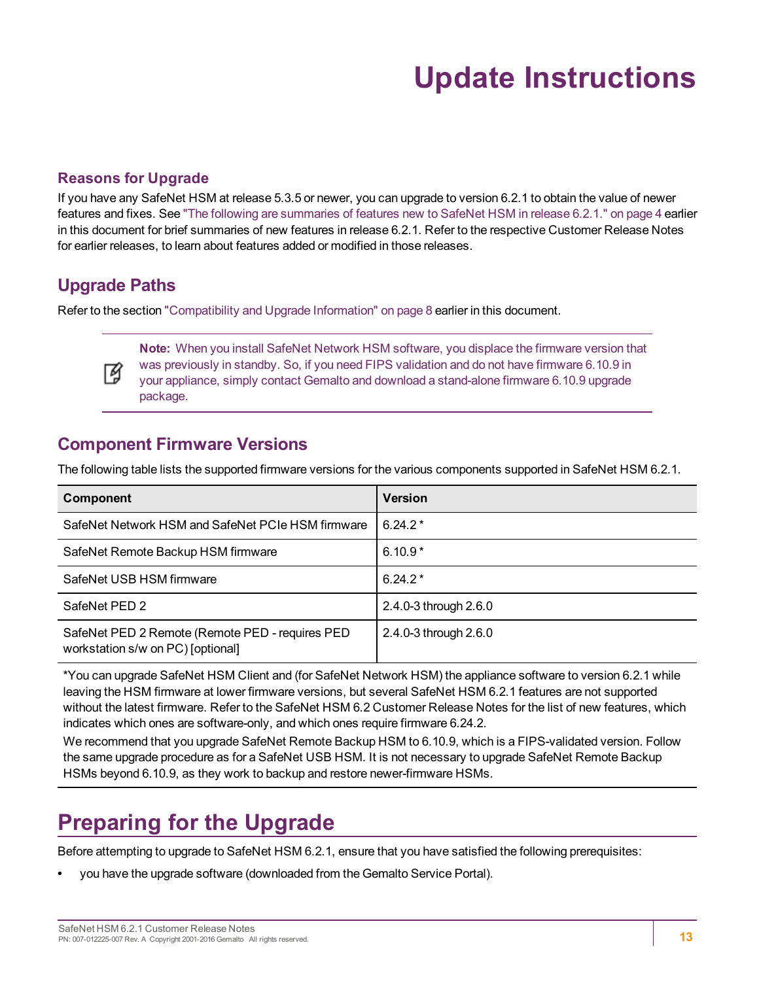# **Update Instructions**

#### <span id="page-12-0"></span>**Reasons for Upgrade**

If you have any SafeNet HSM at release 5.3.5 or newer, you can upgrade to version 6.2.1 to obtain the value of newer features and fixes. See "The following are [summaries](#page-3-5) of features new to SafeNet HSM in release 6.2.1." on page 4 earlier in this document for brief summaries of new features in release 6.2.1. Refer to the respective Customer Release Notes for earlier releases, to learn about features added or modified in those releases.

# <span id="page-12-1"></span>**Upgrade Paths**

Refer to the section "Compatibility and Upgrade [Information" on](#page-7-0) page 8 earlier in this document.



**Note:** When you install SafeNet Network HSM software, you displace the firmware version that was previously in standby. So, if you need FIPS validation and do not have firmware 6.10.9 in your appliance, simply contact Gemalto and download a stand-alone firmware 6.10.9 upgrade package.

### <span id="page-12-2"></span>**Component Firmware Versions**

The following table lists the supported firmware versions for the various components supported in SafeNet HSM 6.2.1.

| Component                                                                            | <b>Version</b>        |
|--------------------------------------------------------------------------------------|-----------------------|
| SafeNet Network HSM and SafeNet PCIe HSM firmware                                    | $6.24.2*$             |
| SafeNet Remote Backup HSM firmware                                                   | $6.10.9*$             |
| SafeNet USB HSM firmware                                                             | $6.24.2*$             |
| SafeNet PED 2                                                                        | 2.4.0-3 through 2.6.0 |
| SafeNet PED 2 Remote (Remote PED - requires PED<br>workstation s/w on PC) [optional] | 2.4.0-3 through 2.6.0 |

\*You can upgrade SafeNet HSM Client and (for SafeNet Network HSM) the appliance software to version 6.2.1 while leaving the HSM firmware at lower firmware versions, but several SafeNet HSM 6.2.1 features are not supported without the latest firmware. Refer to the SafeNet HSM 6.2 Customer Release Notes for the list of new features, which indicates which ones are software-only, and which ones require firmware 6.24.2.

We recommend that you upgrade SafeNet Remote Backup HSM to 6.10.9, which is a FIPS-validated version. Follow the same upgrade procedure as for a SafeNet USB HSM. It is not necessary to upgrade SafeNet Remote Backup HSMs beyond 6.10.9, as they work to backup and restore newer-firmware HSMs.

# <span id="page-12-3"></span>**Preparing for the Upgrade**

Before attempting to upgrade to SafeNet HSM 6.2.1, ensure that you have satisfied the following prerequisites:

**•** you have the upgrade software (downloaded from the Gemalto Service Portal).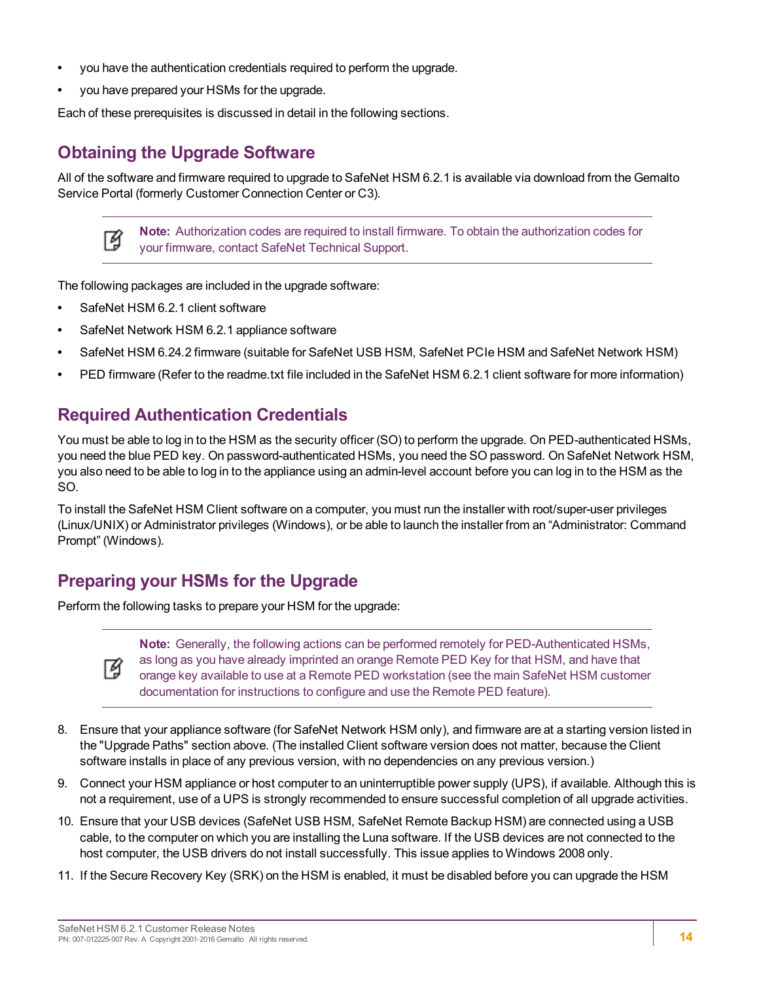- **•** you have the authentication credentials required to perform the upgrade.
- **•** you have prepared your HSMs for the upgrade.

<span id="page-13-0"></span>Each of these prerequisites is discussed in detail in the following sections.

# **Obtaining the Upgrade Software**

All of the software and firmware required to upgrade to SafeNet HSM 6.2.1 is available via download from the Gemalto Service Portal (formerly Customer Connection Center or C3).



**Note:** Authorization codes are required to install firmware. To obtain the authorization codes for your firmware, contact SafeNet Technical Support.

The following packages are included in the upgrade software:

- **•** SafeNet HSM 6.2.1 client software
- **•** SafeNet Network HSM 6.2.1 appliance software
- **•** SafeNet HSM 6.24.2 firmware (suitable for SafeNet USB HSM, SafeNet PCIe HSM and SafeNet Network HSM)
- <span id="page-13-1"></span>**•** PED firmware (Refer to the readme.txt file included in the SafeNet HSM 6.2.1 client software for more information)

# **Required Authentication Credentials**

You must be able to log in to the HSM as the security officer (SO) to perform the upgrade. On PED-authenticated HSMs, you need the blue PED key. On password-authenticated HSMs, you need the SO password. On SafeNet Network HSM, you also need to be able to log in to the appliance using an admin-level account before you can log in to the HSM as the SO.

To install the SafeNet HSM Client software on a computer, you must run the installer with root/super-user privileges (Linux/UNIX) or Administrator privileges (Windows), or be able to launch the installer from an "Administrator: Command Prompt" (Windows).

# <span id="page-13-2"></span>**Preparing your HSMs for the Upgrade**

Perform the following tasks to prepare your HSM for the upgrade:



**Note:** Generally, the following actions can be performed remotely for PED-Authenticated HSMs, as long as you have already imprinted an orange Remote PED Key for that HSM, and have that orange key available to use at a Remote PED workstation (see the main SafeNet HSM customer documentation for instructions to configure and use the Remote PED feature).

- 8. Ensure that your appliance software (for SafeNet Network HSM only), and firmware are at a starting version listed in the "Upgrade Paths" section above. (The installed Client software version does not matter, because the Client software installs in place of any previous version, with no dependencies on any previous version.)
- 9. Connect your HSM appliance or host computer to an uninterruptible power supply (UPS), if available. Although this is not a requirement, use of a UPS is strongly recommended to ensure successful completion of all upgrade activities.
- 10. Ensure that your USB devices (SafeNet USB HSM, SafeNet Remote Backup HSM) are connected using a USB cable, to the computer on which you are installing the Luna software. If the USB devices are not connected to the host computer, the USB drivers do not install successfully. This issue applies to Windows 2008 only.
- 11. If the Secure Recovery Key (SRK) on the HSM is enabled, it must be disabled before you can upgrade the HSM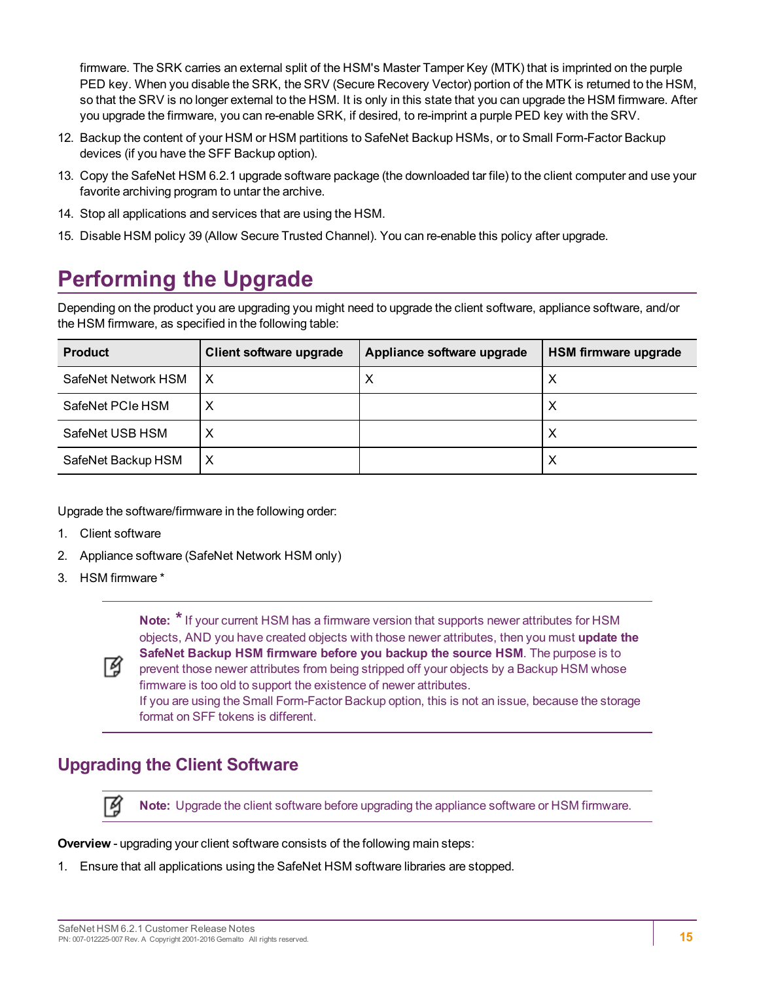firmware. The SRK carries an external split of the HSM's Master Tamper Key (MTK) that is imprinted on the purple PED key. When you disable the SRK, the SRV (Secure Recovery Vector) portion of the MTK is returned to the HSM, so that the SRV is no longer external to the HSM. It is only in this state that you can upgrade the HSM firmware. After you upgrade the firmware, you can re-enable SRK, if desired, to re-imprint a purple PED key with the SRV.

- 12. Backup the content of your HSM or HSM partitions to SafeNet Backup HSMs, or to Small Form-Factor Backup devices (if you have the SFF Backup option).
- 13. Copy the SafeNet HSM 6.2.1 upgrade software package (the downloaded tar file) to the client computer and use your favorite archiving program to untar the archive.
- 14. Stop all applications and services that are using the HSM.
- <span id="page-14-0"></span>15. Disable HSM policy 39 (Allow Secure Trusted Channel). You can re-enable this policy after upgrade.

# **Performing the Upgrade**

Depending on the product you are upgrading you might need to upgrade the client software, appliance software, and/or the HSM firmware, as specified in the following table:

| <b>Product</b>      | Client software upgrade | Appliance software upgrade | HSM firmware upgrade |
|---------------------|-------------------------|----------------------------|----------------------|
| SafeNet Network HSM | Х                       | Х                          | ⌒                    |
| SafeNet PCIe HSM    |                         |                            |                      |
| SafeNet USB HSM     |                         |                            | ⌒                    |
| SafeNet Backup HSM  | х                       |                            | ⋏                    |

Upgrade the software/firmware in the following order:

- 1. Client software
- 2. Appliance software (SafeNet Network HSM only)
- 3. HSM firmware \*

了

**Note: \***If your current HSM has a firmware version that supports newer attributes for HSM objects, AND you have created objects with those newer attributes, then you must **update the SafeNet Backup HSM firmware before you backup the source HSM**. The purpose is to prevent those newer attributes from being stripped off your objects by a Backup HSM whose firmware is too old to support the existence of newer attributes. If you are using the Small Form-Factor Backup option, this is not an issue, because the storage format on SFF tokens is different.

# <span id="page-14-1"></span>**Upgrading the Client Software**

囟 **Note:** Upgrade the client software before upgrading the appliance software or HSM firmware.

**Overview** - upgrading your client software consists of the following main steps:

1. Ensure that all applications using the SafeNet HSM software libraries are stopped.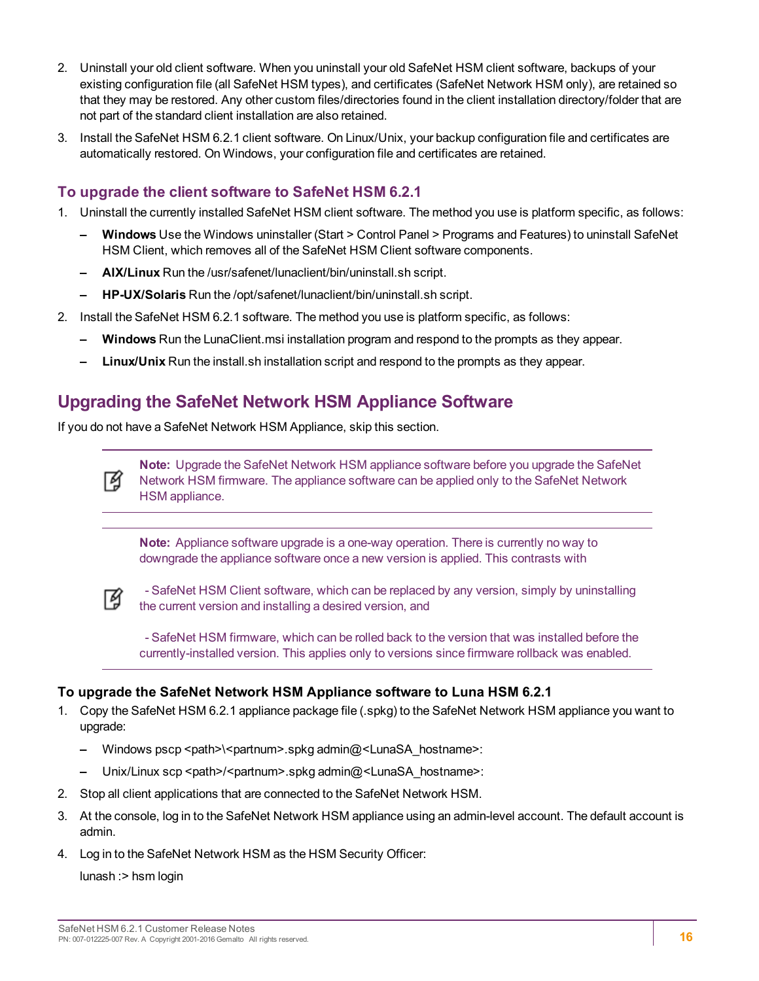- 2. Uninstall your old client software. When you uninstall your old SafeNet HSM client software, backups of your existing configuration file (all SafeNet HSM types), and certificates (SafeNet Network HSM only), are retained so that they may be restored. Any other custom files/directories found in the client installation directory/folder that are not part of the standard client installation are also retained.
- 3. Install the SafeNet HSM 6.2.1 client software. On Linux/Unix, your backup configuration file and certificates are automatically restored. On Windows, your configuration file and certificates are retained.

#### **To upgrade the client software to SafeNet HSM 6.2.1**

- 1. Uninstall the currently installed SafeNet HSM client software. The method you use is platform specific, as follows:
	- **– Windows** Use the Windows uninstaller (Start > Control Panel > Programs and Features) to uninstall SafeNet HSM Client, which removes all of the SafeNet HSM Client software components.
	- **– AIX/Linux** Run the /usr/safenet/lunaclient/bin/uninstall.sh script.
	- **– HP-UX/Solaris** Run the /opt/safenet/lunaclient/bin/uninstall.sh script.
- 2. Install the SafeNet HSM 6.2.1 software. The method you use is platform specific, as follows:
	- **– Windows** Run the LunaClient.msi installation program and respond to the prompts as they appear.
	- **– Linux/Unix** Run the install.sh installation script and respond to the prompts as they appear.

# <span id="page-15-0"></span>**Upgrading the SafeNet Network HSM Appliance Software**

If you do not have a SafeNet Network HSM Appliance, skip this section.

**Note:** Upgrade the SafeNet Network HSM appliance software before you upgrade the SafeNet Network HSM firmware. The appliance software can be applied only to the SafeNet Network HSM appliance.

**Note:** Appliance software upgrade is a one-way operation. There is currently no way to downgrade the appliance software once a new version is applied. This contrasts with



M

- SafeNet HSM Client software, which can be replaced by any version, simply by uninstalling the current version and installing a desired version, and

 - SafeNet HSM firmware, which can be rolled back to the version that was installed before the currently-installed version. This applies only to versions since firmware rollback was enabled.

#### **To upgrade the SafeNet Network HSM Appliance software to Luna HSM 6.2.1**

- 1. Copy the SafeNet HSM 6.2.1 appliance package file (.spkg) to the SafeNet Network HSM appliance you want to upgrade:
	- **–** Windows pscp <path>\<partnum>.spkg admin@<LunaSA\_hostname>:
	- Unix/Linux scp <path>/<partnum>.spkg admin@<LunaSA\_hostname>:
- 2. Stop all client applications that are connected to the SafeNet Network HSM.
- 3. At the console, log in to the SafeNet Network HSM appliance using an admin-level account. The default account is admin.
- 4. Log in to the SafeNet Network HSM as the HSM Security Officer:

lunash :> hsm login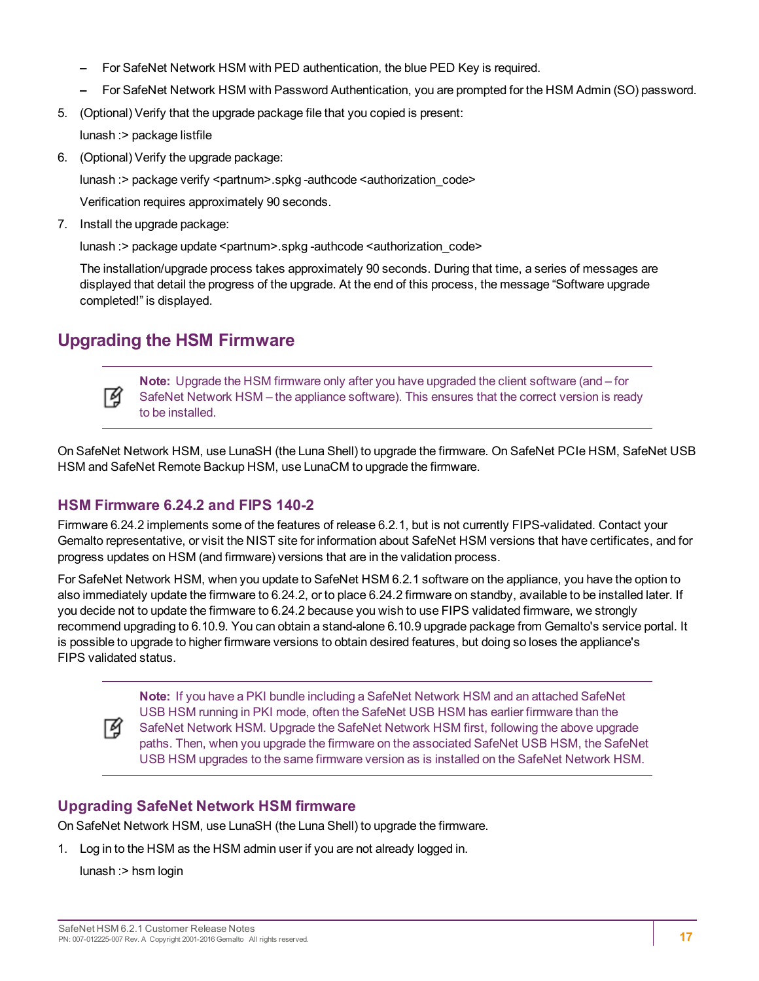- **–** For SafeNet Network HSM with PED authentication, the blue PED Key is required.
- **–** For SafeNet Network HSM with Password Authentication, you are prompted for the HSM Admin (SO) password.
- 5. (Optional) Verify that the upgrade package file that you copied is present:

lunash :> package listfile

6. (Optional) Verify the upgrade package:

lunash :> package verify <partnum>.spkg -authcode <authorization\_code>

Verification requires approximately 90 seconds.

7. Install the upgrade package:

lunash :> package update <partnum>.spkg -authcode <authorization\_code>

The installation/upgrade process takes approximately 90 seconds. During that time, a series of messages are displayed that detail the progress of the upgrade. At the end of this process, the message "Software upgrade completed!" is displayed.

# <span id="page-16-0"></span>**Upgrading the HSM Firmware**



**Note:** Upgrade the HSM firmware only after you have upgraded the client software (and – for SafeNet Network HSM – the appliance software). This ensures that the correct version is ready to be installed.

On SafeNet Network HSM, use LunaSH (the Luna Shell) to upgrade the firmware. On SafeNet PCIe HSM, SafeNet USB HSM and SafeNet Remote Backup HSM, use LunaCM to upgrade the firmware.

#### **HSM Firmware 6.24.2 and FIPS 140-2**

Firmware 6.24.2 implements some of the features of release 6.2.1, but is not currently FIPS-validated. Contact your Gemalto representative, or visit the NIST site for information about SafeNet HSM versions that have certificates, and for progress updates on HSM (and firmware) versions that are in the validation process.

For SafeNet Network HSM, when you update to SafeNet HSM 6.2.1 software on the appliance, you have the option to also immediately update the firmware to 6.24.2, or to place 6.24.2 firmware on standby, available to be installed later. If you decide not to update the firmware to 6.24.2 because you wish to use FIPS validated firmware, we strongly recommend upgrading to 6.10.9. You can obtain a stand-alone 6.10.9 upgrade package from Gemalto's service portal. It is possible to upgrade to higher firmware versions to obtain desired features, but doing so loses the appliance's FIPS validated status.



**Note:** If you have a PKI bundle including a SafeNet Network HSM and an attached SafeNet USB HSM running in PKI mode, often the SafeNet USB HSM has earlier firmware than the SafeNet Network HSM. Upgrade the SafeNet Network HSM first, following the above upgrade paths. Then, when you upgrade the firmware on the associated SafeNet USB HSM, the SafeNet USB HSM upgrades to the same firmware version as is installed on the SafeNet Network HSM.

#### **Upgrading SafeNet Network HSM firmware**

On SafeNet Network HSM, use LunaSH (the Luna Shell) to upgrade the firmware.

1. Log in to the HSM as the HSM admin user if you are not already logged in.

lunash :> hsm login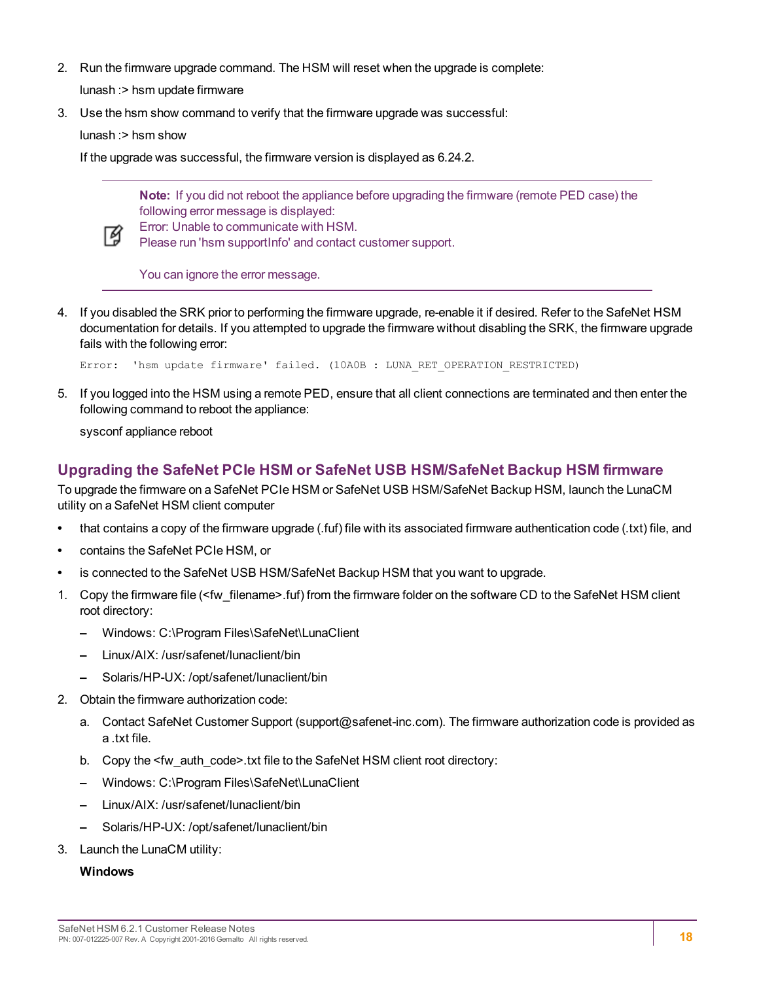2. Run the firmware upgrade command. The HSM will reset when the upgrade is complete:

lunash :> hsm update firmware

3. Use the hsm show command to verify that the firmware upgrade was successful:

lunash :> hsm show

If the upgrade was successful, the firmware version is displayed as 6.24.2.

**Note:** If you did not reboot the appliance before upgrading the firmware (remote PED case) the following error message is displayed:



Error: Unable to communicate with HSM.

Please run 'hsm supportInfo' and contact customer support.

You can ignore the error message.

4. If you disabled the SRK prior to performing the firmware upgrade, re-enable it if desired. Refer to the SafeNet HSM documentation for details. If you attempted to upgrade the firmware without disabling the SRK, the firmware upgrade fails with the following error:

Error: 'hsm update firmware' failed. (10A0B : LUNA RET OPERATION RESTRICTED)

5. If you logged into the HSM using a remote PED, ensure that all client connections are terminated and then enter the following command to reboot the appliance:

sysconf appliance reboot

#### **Upgrading the SafeNet PCIe HSM or SafeNet USB HSM/SafeNet Backup HSM firmware**

To upgrade the firmware on a SafeNet PCIe HSM or SafeNet USB HSM/SafeNet Backup HSM, launch the LunaCM utility on a SafeNet HSM client computer

- **•** that contains a copy of the firmware upgrade (.fuf) file with its associated firmware authentication code (.txt) file, and
- **•** contains the SafeNet PCIe HSM, or
- **•** is connected to the SafeNet USB HSM/SafeNet Backup HSM that you want to upgrade.
- 1. Copy the firmware file (<fw\_filename>.fuf) from the firmware folder on the software CD to the SafeNet HSM client root directory:
	- **–** Windows: C:\Program Files\SafeNet\LunaClient
	- **–** Linux/AIX: /usr/safenet/lunaclient/bin
	- **–** Solaris/HP-UX: /opt/safenet/lunaclient/bin
- 2. Obtain the firmware authorization code:
	- a. Contact SafeNet Customer Support (support@safenet-inc.com). The firmware authorization code is provided as a .txt file.
	- b. Copy the <fw\_auth\_code>.txt file to the SafeNet HSM client root directory:
	- **–** Windows: C:\Program Files\SafeNet\LunaClient
	- **–** Linux/AIX: /usr/safenet/lunaclient/bin
	- **–** Solaris/HP-UX: /opt/safenet/lunaclient/bin
- 3. Launch the LunaCM utility:

#### **Windows**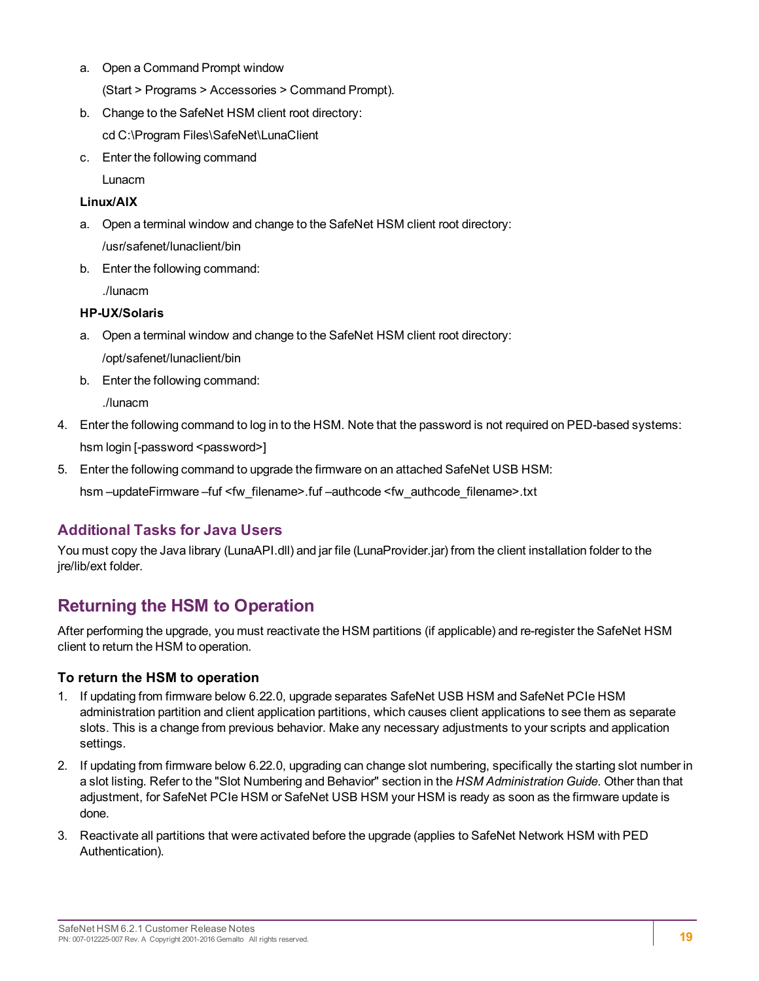a. Open a Command Prompt window

(Start > Programs > Accessories > Command Prompt).

b. Change to the SafeNet HSM client root directory:

cd C:\Program Files\SafeNet\LunaClient

c. Enter the following command

Lunacm

#### **Linux/AIX**

- a. Open a terminal window and change to the SafeNet HSM client root directory: /usr/safenet/lunaclient/bin
- b. Enter the following command:

./lunacm

#### **HP-UX/Solaris**

- a. Open a terminal window and change to the SafeNet HSM client root directory: /opt/safenet/lunaclient/bin
- b. Enter the following command:

./lunacm

- 4. Enter the following command to log in to the HSM. Note that the password is not required on PED-based systems: hsm login [-password <password>]
- 5. Enter the following command to upgrade the firmware on an attached SafeNet USB HSM:

hsm -updateFirmware -fuf <fw\_filename>.fuf -authcode <fw\_authcode\_filename>.txt

#### **Additional Tasks for Java Users**

You must copy the Java library (LunaAPI.dll) and jar file (LunaProvider.jar) from the client installation folder to the jre/lib/ext folder.

# <span id="page-18-0"></span>**Returning the HSM to Operation**

After performing the upgrade, you must reactivate the HSM partitions (if applicable) and re-register the SafeNet HSM client to return the HSM to operation.

#### **To return the HSM to operation**

- 1. If updating from firmware below 6.22.0, upgrade separates SafeNet USB HSM and SafeNet PCIe HSM administration partition and client application partitions, which causes client applications to see them as separate slots. This is a change from previous behavior. Make any necessary adjustments to your scripts and application settings.
- 2. If updating from firmware below 6.22.0, upgrading can change slot numbering, specifically the starting slot number in a slot listing. Refer to the "Slot Numbering and Behavior" section in the *HSM Administration Guide*. Other than that adjustment, for SafeNet PCIe HSM or SafeNet USB HSM your HSM is ready as soon as the firmware update is done.
- 3. Reactivate all partitions that were activated before the upgrade (applies to SafeNet Network HSM with PED Authentication).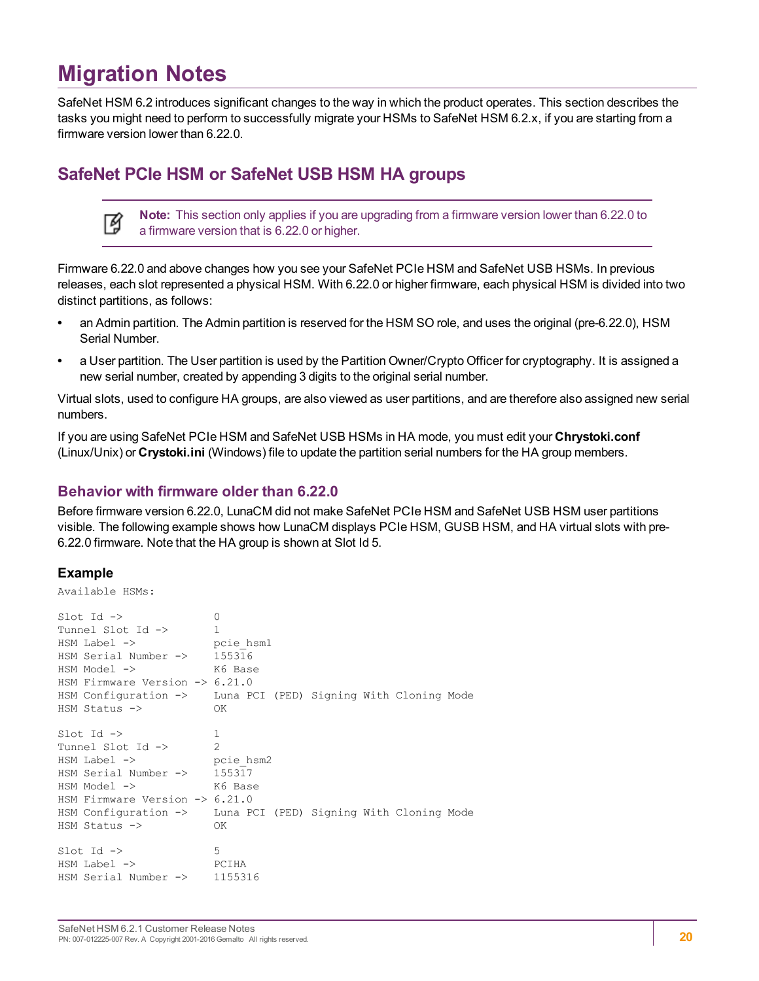# <span id="page-19-0"></span>**Migration Notes**

SafeNet HSM 6.2 introduces significant changes to the way in which the product operates. This section describes the tasks you might need to perform to successfully migrate your HSMs to SafeNet HSM 6.2.x, if you are starting from a firmware version lower than 6.22.0.

### <span id="page-19-1"></span>**SafeNet PCIe HSM or SafeNet USB HSM HA groups**

| Note: This section only applies if you are upgrading from a firmware version lower than 6.22.0 to<br>a firmware version that is 6.22.0 or higher. |
|---------------------------------------------------------------------------------------------------------------------------------------------------|
| a firmware version that is 6.22.0 or higher.                                                                                                      |

Firmware 6.22.0 and above changes how you see your SafeNet PCIe HSM and SafeNet USB HSMs. In previous releases, each slot represented a physical HSM. With 6.22.0 or higher firmware, each physical HSM is divided into two distinct partitions, as follows:

- **•** an Admin partition. The Admin partition is reserved for the HSM SO role, and uses the original (pre-6.22.0), HSM Serial Number.
- **•** a User partition. The User partition is used by the Partition Owner/Crypto Officer for cryptography. It is assigned a new serial number, created by appending 3 digits to the original serial number.

Virtual slots, used to configure HA groups, are also viewed as user partitions, and are therefore also assigned new serial numbers.

If you are using SafeNet PCIe HSM and SafeNet USB HSMs in HA mode, you must edit your **Chrystoki.conf** (Linux/Unix) or **Crystoki.ini** (Windows) file to update the partition serial numbers for the HA group members.

#### **Behavior with firmware older than 6.22.0**

Before firmware version 6.22.0, LunaCM did not make SafeNet PCIe HSM and SafeNet USB HSM user partitions visible. The following example shows how LunaCM displays PCIe HSM, GUSB HSM, and HA virtual slots with pre-6.22.0 firmware. Note that the HA group is shown at Slot Id 5.

#### **Example**

| Available HSMs:                                                                                                                                                                                                            |                                                                                                                  |
|----------------------------------------------------------------------------------------------------------------------------------------------------------------------------------------------------------------------------|------------------------------------------------------------------------------------------------------------------|
| $Slot$ Id $\rightarrow$<br>Tunnel Slot Id -><br>HSM Label -><br>HSM Serial Number -> 155316<br>$HSM$ Model $\rightarrow$<br>K6 Base<br>HSM Firmware Version $\rightarrow$ 6.21.0<br>$HSM$ Status $\rightarrow$             | 0<br>$\mathbf{1}$<br>pcie hsml<br>HSM Configuration -> Luna PCI (PED) Signing With Cloning Mode<br>OK            |
| $Slot$ Id $\rightarrow$<br>Tunnel Slot Id -><br>$HSM$ Label $\rightarrow$ pcie hsm2<br>HSM Serial Number $\rightarrow$ 155317<br>$HSM Model$ -><br>HSM Firmware Version $\rightarrow$ 6.21.0<br>$HSM$ Status $\rightarrow$ | $\mathbf{1}$<br>$\mathcal{P}$<br>K6 Base<br>HSM Configuration -> Luna PCI (PED) Signing With Cloning Mode<br>OK. |
| $Slot$ Id $\rightarrow$<br>HSM Label -><br>HSM Serial Number ->                                                                                                                                                            | 5<br>PCIHA<br>1155316                                                                                            |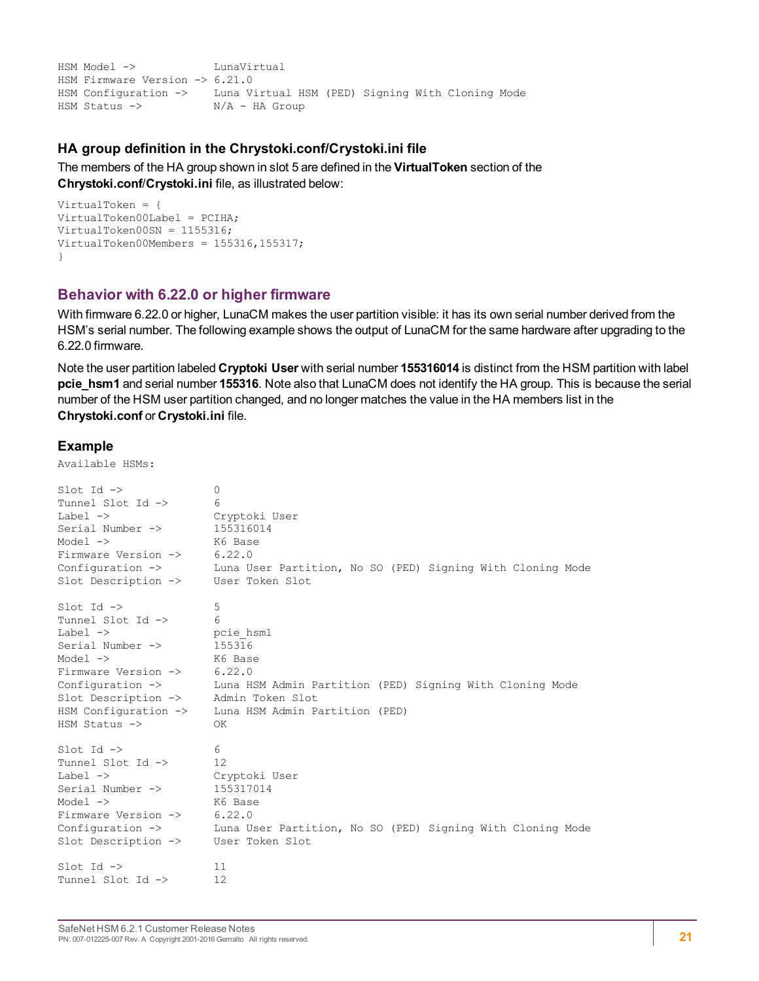HSM Model -> LunaVirtual HSM Firmware Version -> 6.21.0 HSM Configuration -> Luna Virtual HSM (PED) Signing With Cloning Mode HSM Status -> N/A - HA Group

#### **HA group definition in the Chrystoki.conf/Crystoki.ini file**

The members of the HA group shown in slot 5 are defined in the **VirtualToken** section of the **Chrystoki.conf**/**Crystoki.ini** file, as illustrated below:

```
VirtualToken = {
VirtualToken00Label = PCIHA;
VirtualToken00SN = 1155316;
VirtualToken00Members = 155316,155317;
}
```
#### **Behavior with 6.22.0 or higher firmware**

With firmware 6.22.0 or higher, LunaCM makes the user partition visible: it has its own serial number derived from the HSM's serial number. The following example shows the output of LunaCM for the same hardware after upgrading to the 6.22.0 firmware.

Note the user partition labeled **Cryptoki User** with serial number **155316014** is distinct from the HSM partition with label **pcie\_hsm1** and serial number **155316**. Note also that LunaCM does not identify the HA group. This is because the serial number of the HSM user partition changed, and no longer matches the value in the HA members list in the **Chrystoki.conf** or **Crystoki.ini** file.

#### **Example**

Available HSMs:

| $Slot$ Id $\rightarrow$     | $\circ$                                                    |
|-----------------------------|------------------------------------------------------------|
| Tunnel Slot Id ->           | 6                                                          |
| Label $\rightarrow$         | Cryptoki User                                              |
| Serial Number ->            | 155316014                                                  |
| Model $\rightarrow$         | K6 Base                                                    |
| Firmware Version ->         | 6.22.0                                                     |
| Configuration $\rightarrow$ | Luna User Partition, No SO (PED) Signing With Cloning Mode |
| Slot Description ->         | User Token Slot                                            |
| $Slot$ Id $\rightarrow$     | 5                                                          |
| Tunnel Slot Id ->           | 6                                                          |
| Label $\rightarrow$         | pcie hsm1                                                  |
| Serial Number ->            | 155316                                                     |
| Model $\rightarrow$         | K6 Base                                                    |
| Firmware Version ->         | 6.22.0                                                     |
| Configuration $\rightarrow$ | Luna HSM Admin Partition (PED) Signing With Cloning Mode   |
| Slot Description ->         | Admin Token Slot                                           |
| HSM Configuration ->        | Luna HSM Admin Partition (PED)                             |
| $HSM$ Status $\rightarrow$  | OK                                                         |
| $Slot$ Id $\rightarrow$     | 6                                                          |
| Tunnel Slot Id ->           | 12                                                         |
| Label $\rightarrow$         | Cryptoki User                                              |
| Serial Number ->            | 155317014                                                  |
| Model $\rightarrow$         | K6 Base                                                    |
| Firmware Version ->         | 6.22.0                                                     |
| Configuration $\rightarrow$ | Luna User Partition, No SO (PED) Signing With Cloning Mode |
| Slot Description ->         | User Token Slot                                            |
| $Slot$ Id $\rightarrow$     | 11                                                         |
| Tunnel Slot Id ->           | 12                                                         |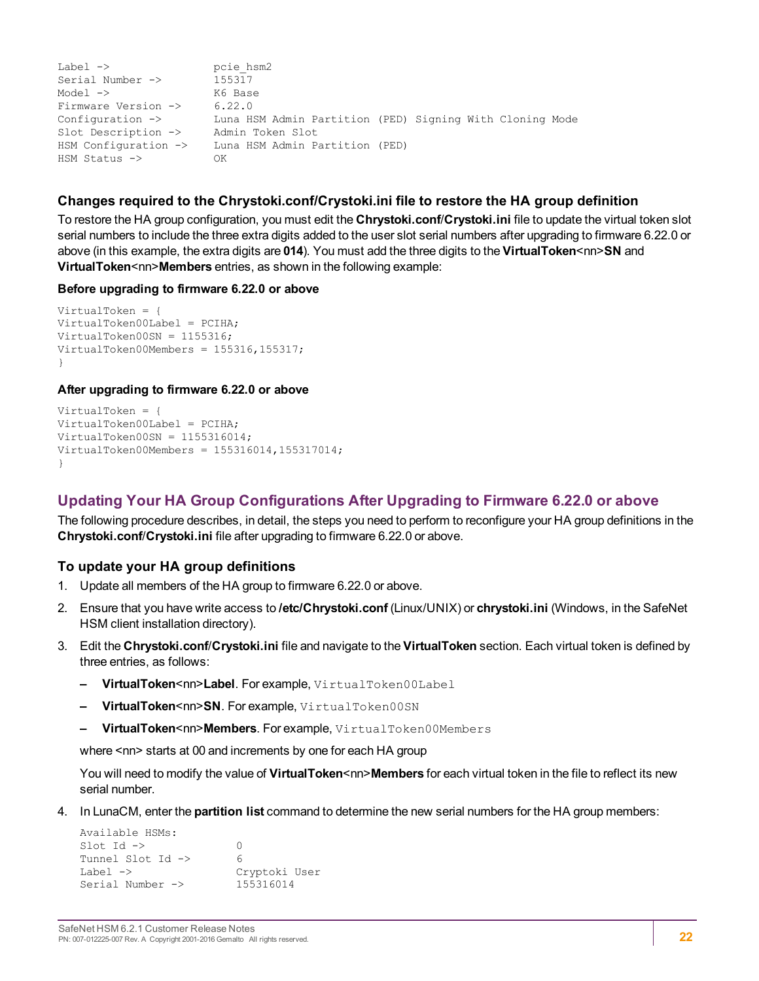```
Label -> pcie hsm2
Serial Number \rightarrow 155317
Model -> K6 Base<br>Firmware Version -> 6.22.0
Firmware Version ->
Configuration -> Luna HSM Admin Partition (PED) Signing With Cloning Mode<br>Slot Description -> Admin Token Slot
Slot Description ->
HSM Configuration -> Luna HSM Admin Partition (PED)
HSM Status -> OK
```
#### **Changes required to the Chrystoki.conf/Crystoki.ini file to restore the HA group definition**

To restore the HA group configuration, you must edit the **Chrystoki.conf**/**Crystoki.ini** file to update the virtual token slot serial numbers to include the three extra digits added to the user slot serial numbers after upgrading to firmware 6.22.0 or above (in this example, the extra digits are **014**). You must add the three digits to the **VirtualToken**<nn>**SN** and **VirtualToken**<nn>**Members** entries, as shown in the following example:

#### **Before upgrading to firmware 6.22.0 or above**

```
VirtualToken = {
VirtualToken00Label = PCIHA;
VirtualToken00SN = 1155316;
VirtualToken00Members = 155316,155317;
}
```
#### **After upgrading to firmware 6.22.0 or above**

```
VirtualToken = {
VirtualToken00Label = PCIHA;
VirtualToken00SN = 1155316014;
VirtualToken00Members = 155316014,155317014;
}
```
#### **Updating Your HA Group Configurations After Upgrading to Firmware 6.22.0 or above**

The following procedure describes, in detail, the steps you need to perform to reconfigure your HA group definitions in the **Chrystoki.conf**/**Crystoki.ini** file after upgrading to firmware 6.22.0 or above.

#### **To update your HA group definitions**

- 1. Update all members of the HA group to firmware 6.22.0 or above.
- 2. Ensure that you have write access to **/etc/Chrystoki.conf** (Linux/UNIX) or **chrystoki.ini** (Windows, in the SafeNet HSM client installation directory).
- 3. Edit the **Chrystoki.conf**/**Crystoki.ini** file and navigate to the **VirtualToken** section. Each virtual token is defined by three entries, as follows:
	- **– VirtualToken**<nn>**Label**. For example, VirtualToken00Label
	- **– VirtualToken**<nn>**SN**. For example, VirtualToken00SN
	- **– VirtualToken**<nn>**Members**. For example, VirtualToken00Members

where <nn> starts at 00 and increments by one for each HA group

You will need to modify the value of **VirtualToken**<nn>**Members** for each virtual token in the file to reflect its new serial number.

4. In LunaCM, enter the **partition list** command to determine the new serial numbers for the HA group members:

| Available HSMs:              |               |
|------------------------------|---------------|
| $Slot$ Id $\rightarrow$      | ∩             |
| Tunnel Slot Id $\rightarrow$ | 6             |
| Label $\rightarrow$          | Cryptoki User |
| Serial Number ->             | 155316014     |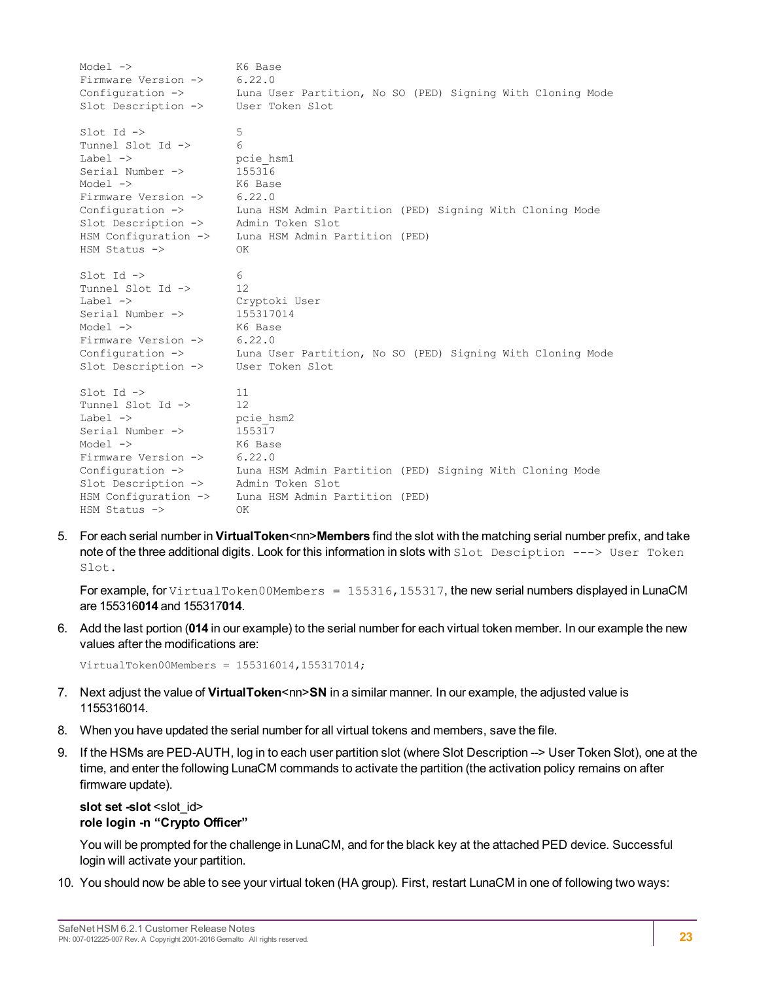Model -> K6 Base Firmware Version -> 6.22.0 Configuration -> Luna User Partition, No SO (PED) Signing With Cloning Mode Slot Description -> User Token Slot  $\text{slot}$  Id  $\rightarrow$  5 Tunnel Slot Id -> 6 Label -> pcie\_hsm1 Serial Number -> 155316 Model -> K6 Base Firmware Version -> 6.22.0 Configuration -> Luna HSM Admin Partition (PED) Signing With Cloning Mode Slot Description -> Admin Token Slot HSM Configuration -> Luna HSM Admin Partition (PED) HSM Status -> OK  $\text{slot}$   $\text{Id}$   $\rightarrow$  6 Tunnel Slot Id -> 12 Label -> Cryptoki User Serial Number -> 155317014 Model -> K6 Base Firmware Version -> 6.22.0 Configuration -> Luna User Partition, No SO (PED) Signing With Cloning Mode Slot Description -> User Token Slot  $\text{slot}$   $\text{Id}$   $\rightarrow$  11 Tunnel Slot Id -> 12 Label -> pcie hsm2 Serial Number -> 155317 Model -> K6 Base Firmware Version -> 6.22.0 U.22.0<br>Luna HSM Admin Partition (PED) Signing With Cloning Mode<br>Admin Token Slot Slot Description -> Admin Token Slot HSM Configuration -> Luna HSM Admin Partition (PED) HSM Status -> OK

5. For each serial number in **VirtualToken<nn>Members** find the slot with the matching serial number prefix, and take note of the three additional digits. Look for this information in slots with Slot Desciption ---> User Token Slot.

For example, for VirtualToken00Members = 155316, 155317, the new serial numbers displayed in LunaCM are 155316**014** and 155317**014**.

6. Add the last portion (**014** in our example) to the serial number for each virtual token member. In our example the new values after the modifications are:

```
VirtualToken00Members = 155316014,155317014;
```
- 7. Next adjust the value of **VirtualToken**<nn>**SN** in a similar manner. In our example, the adjusted value is 1155316014.
- 8. When you have updated the serial number for all virtual tokens and members, save the file.
- 9. If the HSMs are PED-AUTH, log in to each user partition slot (where Slot Description --> User Token Slot), one at the time, and enter the following LunaCM commands to activate the partition (the activation policy remains on after firmware update).

#### **slot** set -slot <slot\_id> **role login -n "Crypto Officer"**

You will be prompted for the challenge in LunaCM, and for the black key at the attached PED device. Successful login will activate your partition.

10. You should now be able to see your virtual token (HA group). First, restart LunaCM in one of following two ways: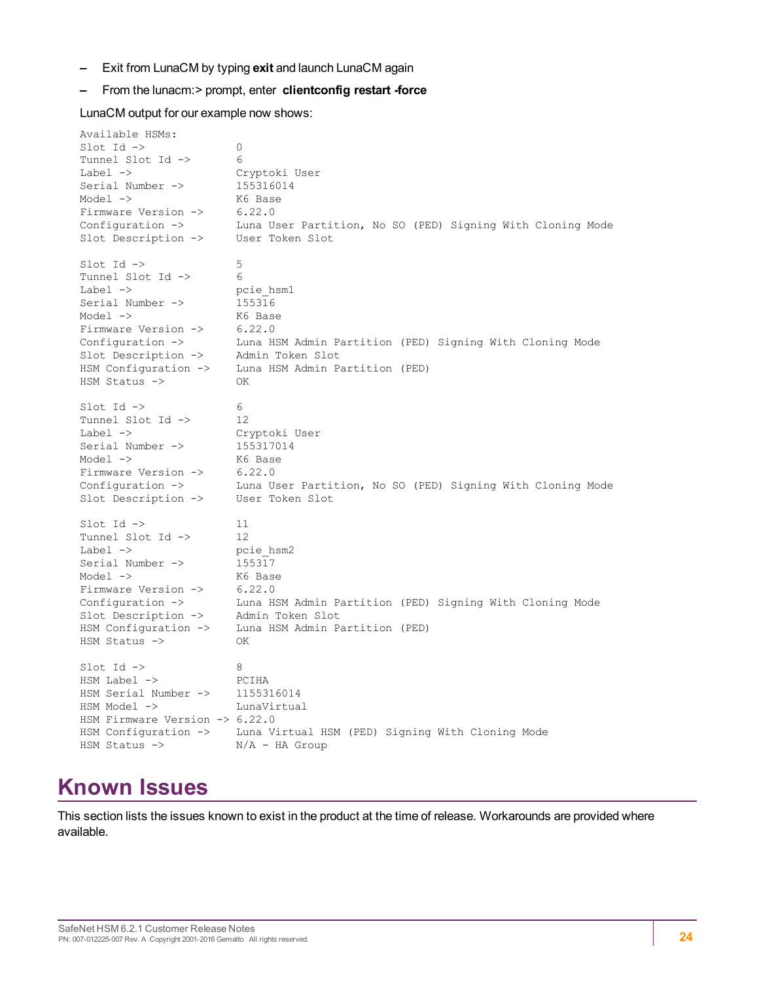**–** Exit from LunaCM by typing **exit** and launch LunaCM again

#### **–** From the lunacm:> prompt, enter **clientconfig restart -force**

LunaCM output for our example now shows:

Available HSMs:  $Slot$  Id  $\rightarrow$  0 Tunnel Slot Id -> 6 Label -> Cryptoki User Serial Number -> 155316014 Model -> K6 Base Firmware Version -> 6.22.0 Configuration -> Luna User Partition, No SO (PED) Signing With Cloning Mode Slot Description -> User Token Slot  $\text{slot}$  Id  $\rightarrow$  5 Tunnel Slot Id -> 6 Label -> pcie hsm1 Serial Number -> 155316 Model -> K6 Base Firmware Version -> 6.22.0 Configuration -> Luna HSM Admin Partition (PED) Signing With Cloning Mode Slot Description -> Admin Token Slot HSM Configuration -> Luna HSM Admin Partition (PED) HSM Status -> OK  $\text{slot}$  Id  $\rightarrow$  6 Tunnel Slot Id -> 12<br>
Label -> Cry Cryptoki User<br>155317014 Serial Number -> Model -> K6 Base Firmware Version -> 6.22.0 Configuration -> Luna User Partition, No SO (PED) Signing With Cloning Mode Slot Description -> User Token Slot  $\text{slot}$  Id  $\rightarrow$  11 Tunnel Slot Id -> 12 Label -> pcie hsm2 Serial Number  $\rightarrow$  155317 Model -> K6 Base Firmware Version -> 6.22.0 Configuration -> Luna HSM Admin Partition (PED) Signing With Cloning Mode Slot Description -> Admin Token Slot Slot Description -> Admin Token Slot<br>HSM Configuration -> Luna HSM Admin Partition (PED) HSM Status -> OK  $\text{Slot}$  Id  $\rightarrow$  8 HSM Label -> PCIHA HSM Serial Number  $\rightarrow$  1155316014 HSM Model -> LunaVirtual HSM Firmware Version -> 6.22.0 HSM Configuration -> Luna Virtual HSM (PED) Signing With Cloning Mode HSM Status -> N/A - HA Group

# <span id="page-23-0"></span>**Known Issues**

This section lists the issues known to exist in the product at the time of release. Workarounds are provided where available.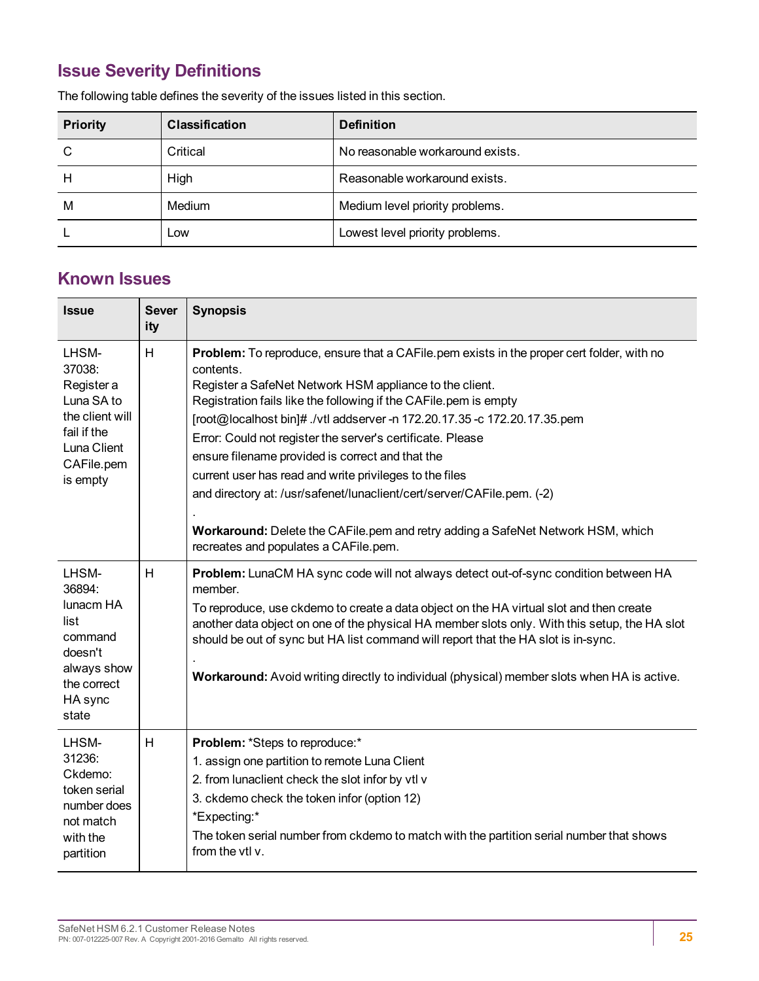# <span id="page-24-0"></span>**Issue Severity Definitions**

| <b>Priority</b> | <b>Classification</b> | <b>Definition</b>                |
|-----------------|-----------------------|----------------------------------|
| C               | Critical              | No reasonable workaround exists. |
| Н               | High                  | Reasonable workaround exists.    |
| M               | Medium                | Medium level priority problems.  |
|                 | Low                   | Lowest level priority problems.  |

The following table defines the severity of the issues listed in this section.

# <span id="page-24-1"></span>**Known Issues**

| <b>Issue</b>                                                                                                           | <b>Sever</b><br>ity | <b>Synopsis</b>                                                                                                                                                                                                                                                                                                                                                                                                                                                                                                                                                                                                                                                                                       |
|------------------------------------------------------------------------------------------------------------------------|---------------------|-------------------------------------------------------------------------------------------------------------------------------------------------------------------------------------------------------------------------------------------------------------------------------------------------------------------------------------------------------------------------------------------------------------------------------------------------------------------------------------------------------------------------------------------------------------------------------------------------------------------------------------------------------------------------------------------------------|
| LHSM-<br>37038:<br>Register a<br>Luna SA to<br>the client will<br>fail if the<br>Luna Client<br>CAFile.pem<br>is empty | H                   | Problem: To reproduce, ensure that a CAFile.pem exists in the proper cert folder, with no<br>contents.<br>Register a SafeNet Network HSM appliance to the client.<br>Registration fails like the following if the CAFile.pem is empty<br>[root@localhost bin]# ./vtl addserver -n 172.20.17.35 -c 172.20.17.35.pem<br>Error: Could not register the server's certificate. Please<br>ensure filename provided is correct and that the<br>current user has read and write privileges to the files<br>and directory at: /usr/safenet/lunaclient/cert/server/CAFile.pem. (-2)<br>Workaround: Delete the CAFile.pem and retry adding a SafeNet Network HSM, which<br>recreates and populates a CAFile.pem. |
| LHSM-<br>36894:<br>lunacm HA<br>list<br>command<br>doesn't<br>always show<br>the correct<br>HA sync<br>state           | H                   | Problem: LunaCM HA sync code will not always detect out-of-sync condition between HA<br>member.<br>To reproduce, use ckdemo to create a data object on the HA virtual slot and then create<br>another data object on one of the physical HA member slots only. With this setup, the HA slot<br>should be out of sync but HA list command will report that the HA slot is in-sync.<br>Workaround: Avoid writing directly to individual (physical) member slots when HA is active.                                                                                                                                                                                                                      |
| LHSM-<br>31236:<br>Ckdemo:<br>token serial<br>number does<br>not match<br>with the<br>partition                        | H                   | Problem: *Steps to reproduce:*<br>1. assign one partition to remote Luna Client<br>2. from lunaclient check the slot infor by vtl v<br>3. ckdemo check the token infor (option 12)<br>*Expecting:*<br>The token serial number from ckdemo to match with the partition serial number that shows<br>from the vtl v.                                                                                                                                                                                                                                                                                                                                                                                     |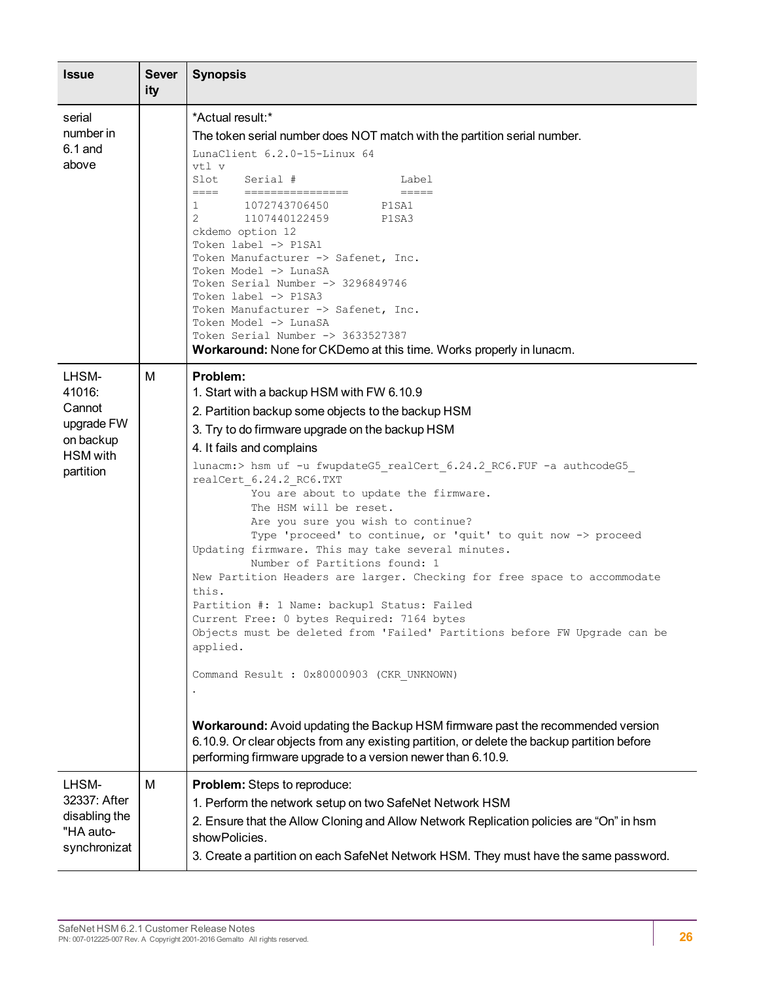| <b>Issue</b>                                                                         | <b>Sever</b><br>ity | <b>Synopsis</b>                                                                                                                                                                                                                                                                                                                                                                                                                                                                                                                                                                                                                                                                                                                                                                                                                                                                                                                                                                                                                                                                                                                        |
|--------------------------------------------------------------------------------------|---------------------|----------------------------------------------------------------------------------------------------------------------------------------------------------------------------------------------------------------------------------------------------------------------------------------------------------------------------------------------------------------------------------------------------------------------------------------------------------------------------------------------------------------------------------------------------------------------------------------------------------------------------------------------------------------------------------------------------------------------------------------------------------------------------------------------------------------------------------------------------------------------------------------------------------------------------------------------------------------------------------------------------------------------------------------------------------------------------------------------------------------------------------------|
| serial<br>number in<br>$6.1$ and<br>above                                            |                     | *Actual result:*<br>The token serial number does NOT match with the partition serial number.<br>LunaClient 6.2.0-15-Linux 64<br>vtl v<br>Slot<br>Serial #<br>Label<br>====<br>$=$ $=$ $=$ $=$<br>$\begin{minipage}{0.99\linewidth} \begin{tabular}{l} \multicolumn{2}{l}{} & \multicolumn{2}{l}{} & \multicolumn{2}{l}{} \\ \multicolumn{2}{l}{} & \multicolumn{2}{l}{} & \multicolumn{2}{l}{} \\ \multicolumn{2}{l}{} & \multicolumn{2}{l}{} & \multicolumn{2}{l}{} \\ \multicolumn{2}{l}{} & \multicolumn{2}{l}{} & \multicolumn{2}{l}{} \\ \multicolumn{2}{l}{} & \multicolumn{2}{l}{} & \multicolumn{2}{l}{} \\ \multicolumn{2}{l}{} & \multicolumn{2}{l}{} & \multicolumn{2}{l}{} \\$<br>1072743706450<br>P1SA1<br>$\mathbf{1}$<br>$\overline{2}$<br>1107440122459<br>P1SA3<br>ckdemo option 12<br>Token label -> P1SA1<br>Token Manufacturer -> Safenet, Inc.<br>Token Model -> LunaSA<br>Token Serial Number -> 3296849746<br>Token label -> P1SA3<br>Token Manufacturer -> Safenet, Inc.<br>Token Model -> LunaSA<br>Token Serial Number -> 3633527387<br>Workaround: None for CKDemo at this time. Works properly in lunacm.  |
| LHSM-<br>41016:<br>Cannot<br>upgrade FW<br>on backup<br><b>HSM</b> with<br>partition | М                   | Problem:<br>1. Start with a backup HSM with FW 6.10.9<br>2. Partition backup some objects to the backup HSM<br>3. Try to do firmware upgrade on the backup HSM<br>4. It fails and complains<br>lunacm:> hsm uf -u fwupdateG5_realCert_6.24.2_RC6.FUF -a authcodeG5_<br>realCert 6.24.2 RC6.TXT<br>You are about to update the firmware.<br>The HSM will be reset.<br>Are you sure you wish to continue?<br>Type 'proceed' to continue, or 'quit' to quit now -> proceed<br>Updating firmware. This may take several minutes.<br>Number of Partitions found: 1<br>New Partition Headers are larger. Checking for free space to accommodate<br>this.<br>Partition #: 1 Name: backup1 Status: Failed<br>Current Free: 0 bytes Required: 7164 bytes<br>Objects must be deleted from 'Failed' Partitions before FW Upgrade can be<br>applied.<br>Command Result : 0x80000903 (CKR_UNKNOWN)<br>Workaround: Avoid updating the Backup HSM firmware past the recommended version<br>6.10.9. Or clear objects from any existing partition, or delete the backup partition before<br>performing firmware upgrade to a version newer than 6.10.9. |
| LHSM-<br>32337: After<br>disabling the<br>"HA auto-<br>synchronizat                  | M                   | Problem: Steps to reproduce:<br>1. Perform the network setup on two SafeNet Network HSM<br>2. Ensure that the Allow Cloning and Allow Network Replication policies are "On" in hsm<br>showPolicies.<br>3. Create a partition on each SafeNet Network HSM. They must have the same password.                                                                                                                                                                                                                                                                                                                                                                                                                                                                                                                                                                                                                                                                                                                                                                                                                                            |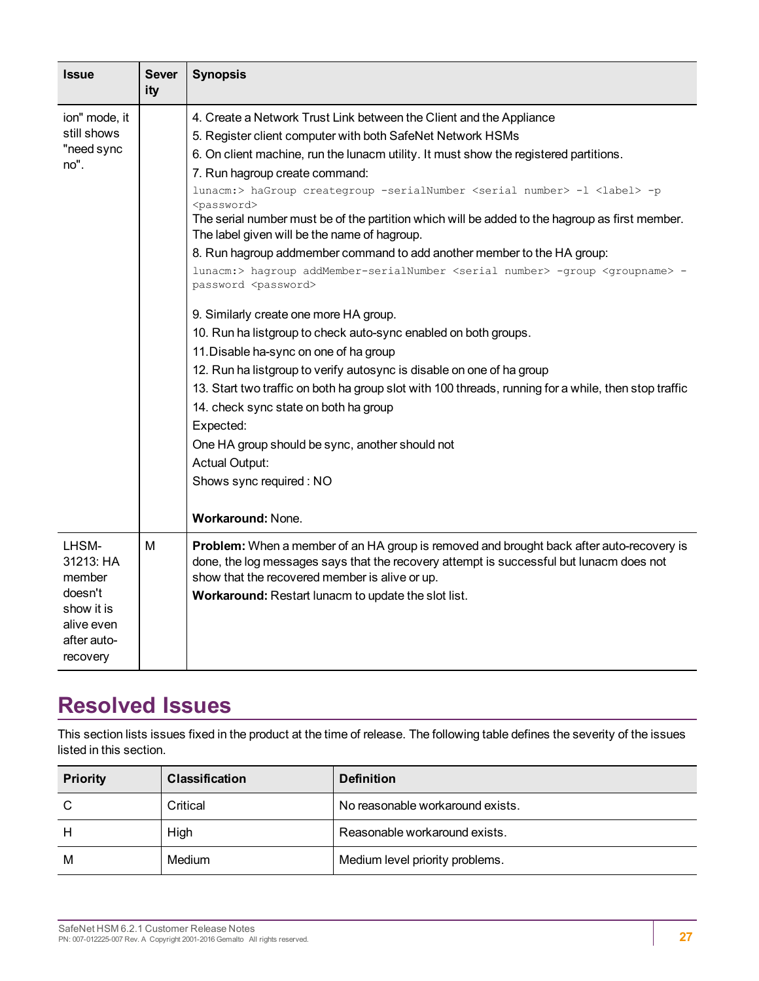| <b>Issue</b>       | <b>Sever</b><br>ity | <b>Synopsis</b>                                                                                                                                |
|--------------------|---------------------|------------------------------------------------------------------------------------------------------------------------------------------------|
| ion" mode, it      |                     | 4. Create a Network Trust Link between the Client and the Appliance                                                                            |
| still shows        |                     | 5. Register client computer with both SafeNet Network HSMs                                                                                     |
| "need sync<br>no". |                     | 6. On client machine, run the lunacm utility. It must show the registered partitions.                                                          |
|                    |                     | 7. Run hagroup create command:                                                                                                                 |
|                    |                     | lunacm:> haGroup creategroup -serialNumber <serial number=""> -1 <label> -p<br/><password></password></label></serial>                         |
|                    |                     | The serial number must be of the partition which will be added to the hagroup as first member.<br>The label given will be the name of hagroup. |
|                    |                     | 8. Run hagroup addmember command to add another member to the HA group:                                                                        |
|                    |                     | lunacm:> hagroup addMember-serialNumber <serial number=""> -group <groupname> -<br/>password <password></password></groupname></serial>        |
|                    |                     | 9. Similarly create one more HA group.                                                                                                         |
|                    |                     | 10. Run ha listgroup to check auto-sync enabled on both groups.                                                                                |
|                    |                     | 11. Disable ha-sync on one of ha group                                                                                                         |
|                    |                     | 12. Run ha listgroup to verify autosync is disable on one of ha group                                                                          |
|                    |                     | 13. Start two traffic on both ha group slot with 100 threads, running for a while, then stop traffic                                           |
|                    |                     | 14. check sync state on both ha group                                                                                                          |
|                    |                     | Expected:                                                                                                                                      |
|                    |                     | One HA group should be sync, another should not                                                                                                |
|                    |                     | <b>Actual Output:</b>                                                                                                                          |
|                    |                     | Shows sync required: NO                                                                                                                        |
|                    |                     | Workaround: None.                                                                                                                              |
| LHSM-<br>31213: HA | M                   | Problem: When a member of an HA group is removed and brought back after auto-recovery is                                                       |
| member             |                     | done, the log messages says that the recovery attempt is successful but lunacm does not<br>show that the recovered member is alive or up.      |
| doesn't            |                     | Workaround: Restart lunacm to update the slot list.                                                                                            |
| show it is         |                     |                                                                                                                                                |
| alive even         |                     |                                                                                                                                                |
| after auto-        |                     |                                                                                                                                                |
| recovery           |                     |                                                                                                                                                |

# <span id="page-26-0"></span>**Resolved Issues**

This section lists issues fixed in the product at the time of release. The following table defines the severity of the issues listed in this section.

| <b>Priority</b> | <b>Classification</b> | <b>Definition</b>                |
|-----------------|-----------------------|----------------------------------|
|                 | Critical              | No reasonable workaround exists. |
| Н               | High                  | Reasonable workaround exists.    |
| M               | Medium                | Medium level priority problems.  |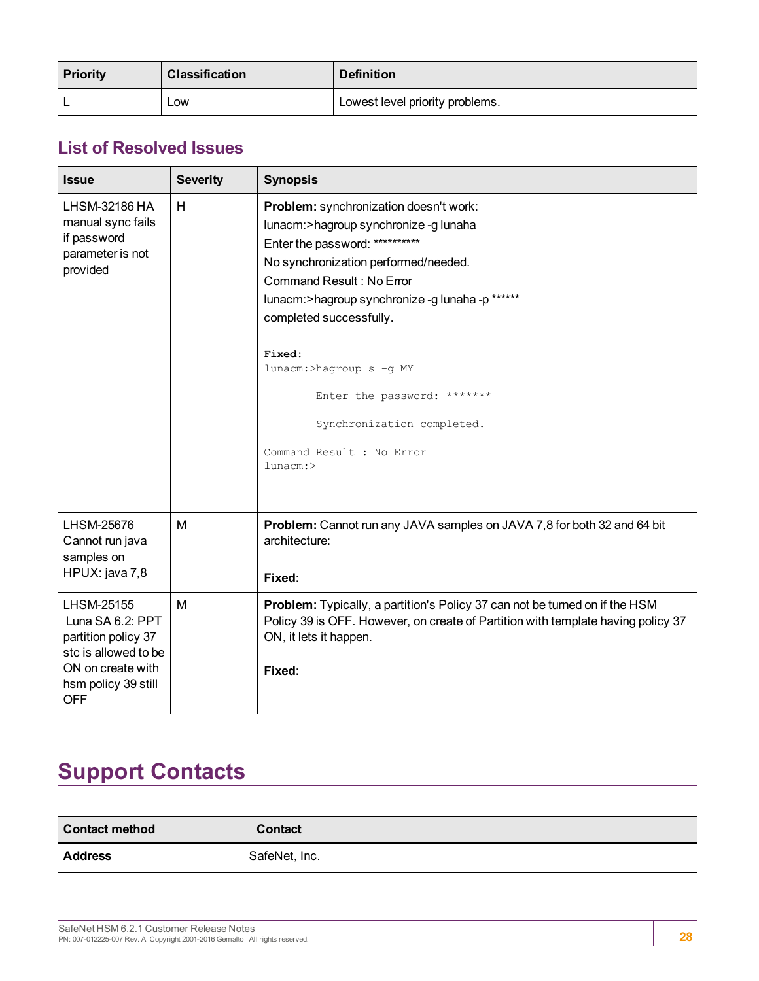| <b>Priority</b> | <b>Classification</b> | <b>Definition</b>               |
|-----------------|-----------------------|---------------------------------|
|                 | <b>LOW</b>            | Lowest level priority problems. |

# <span id="page-27-0"></span>**List of Resolved Issues**

| <b>Issue</b>                                                                                                                            | <b>Severity</b> | <b>Synopsis</b>                                                                                                                                                                                                                                                                                                                                                                                                            |  |
|-----------------------------------------------------------------------------------------------------------------------------------------|-----------------|----------------------------------------------------------------------------------------------------------------------------------------------------------------------------------------------------------------------------------------------------------------------------------------------------------------------------------------------------------------------------------------------------------------------------|--|
| LHSM-32186 HA<br>manual sync fails<br>if password<br>parameter is not<br>provided                                                       | H               | Problem: synchronization doesn't work:<br>lunacm:>hagroup synchronize-g lunaha<br>Enter the password: **********<br>No synchronization performed/needed.<br><b>Command Result: No Error</b><br>lunacm:>hagroup synchronize -g lunaha -p ******<br>completed successfully.<br>Fixed:<br>lunacm:>hagroup s -g MY<br>Enter the password: *******<br>Synchronization completed.<br>Command Result : No Error<br>$l$ unacm: $>$ |  |
| LHSM-25676<br>Cannot run java<br>samples on<br>HPUX: java 7,8                                                                           | M               | <b>Problem:</b> Cannot run any JAVA samples on JAVA 7,8 for both 32 and 64 bit<br>architecture:<br>Fixed:                                                                                                                                                                                                                                                                                                                  |  |
| LHSM-25155<br>Luna SA 6.2: PPT<br>partition policy 37<br>stc is allowed to be<br>ON on create with<br>hsm policy 39 still<br><b>OFF</b> | м               | Problem: Typically, a partition's Policy 37 can not be turned on if the HSM<br>Policy 39 is OFF. However, on create of Partition with template having policy 37<br>ON, it lets it happen.<br>Fixed:                                                                                                                                                                                                                        |  |

# <span id="page-27-1"></span>**Support Contacts**

| <b>Contact method</b> | <b>Contact</b> |
|-----------------------|----------------|
| <b>Address</b>        | SafeNet, Inc.  |